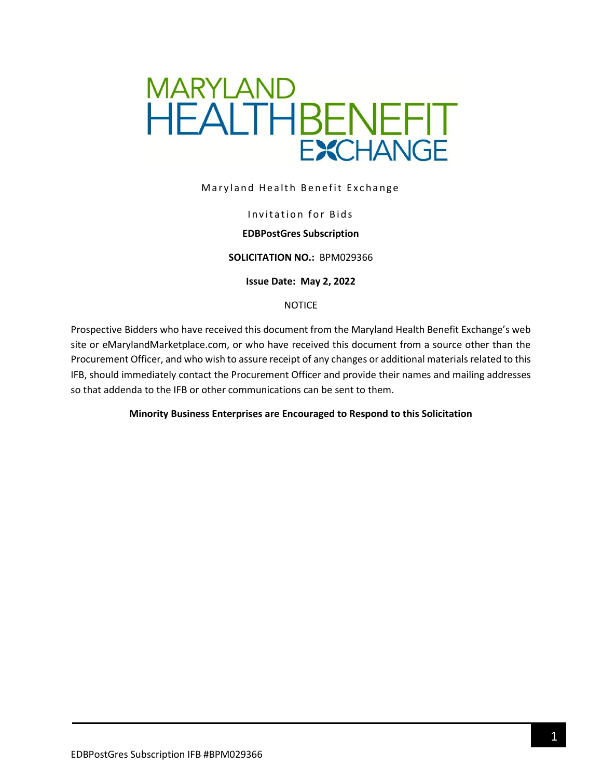

Maryland Health Benefit Exchange

### Invitation for Bids

#### **EDBPostGres Subscription**

#### **SOLICITATION NO.:** BPM029366

**Issue Date: May 2, 2022**

#### NOTICE

Prospective Bidders who have received this document from the Maryland Health Benefit Exchange's web site or eMarylandMarketplace.com, or who have received this document from a source other than the Procurement Officer, and who wish to assure receipt of any changes or additional materials related to this IFB, should immediately contact the Procurement Officer and provide their names and mailing addresses so that addenda to the IFB or other communications can be sent to them.

### **Minority Business Enterprises are Encouraged to Respond to this Solicitation**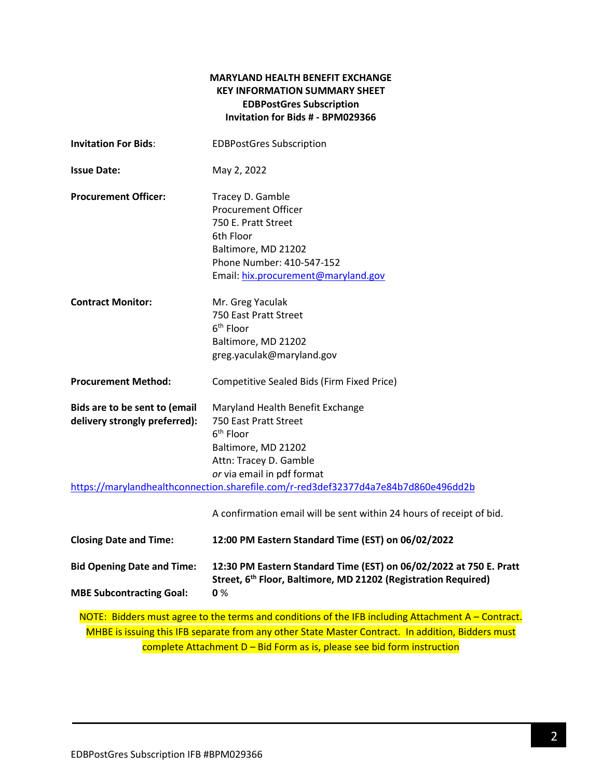### **MARYLAND HEALTH BENEFIT EXCHANGE KEY INFORMATION SUMMARY SHEET EDBPostGres Subscription Invitation for Bids # - BPM029366**

| <b>Invitation For Bids:</b>                                          | <b>EDBPostGres Subscription</b>                                                                                                                                               |  |
|----------------------------------------------------------------------|-------------------------------------------------------------------------------------------------------------------------------------------------------------------------------|--|
| <b>Issue Date:</b>                                                   | May 2, 2022                                                                                                                                                                   |  |
| <b>Procurement Officer:</b>                                          | Tracey D. Gamble<br><b>Procurement Officer</b><br>750 E. Pratt Street<br>6th Floor<br>Baltimore, MD 21202<br>Phone Number: 410-547-152<br>Email: hix.procurement@maryland.gov |  |
| <b>Contract Monitor:</b>                                             | Mr. Greg Yaculak<br>750 East Pratt Street<br>6 <sup>th</sup> Floor<br>Baltimore, MD 21202<br>greg.yaculak@maryland.gov                                                        |  |
| <b>Procurement Method:</b>                                           | Competitive Sealed Bids (Firm Fixed Price)                                                                                                                                    |  |
| Bids are to be sent to (email<br>delivery strongly preferred):       | Maryland Health Benefit Exchange<br>750 East Pratt Street<br>6 <sup>th</sup> Floor<br>Baltimore, MD 21202<br>Attn: Tracey D. Gamble<br>or via email in pdf format             |  |
|                                                                      | https://marylandhealthconnection.sharefile.com/r-red3def32377d4a7e84b7d860e496dd2b                                                                                            |  |
|                                                                      | A confirmation email will be sent within 24 hours of receipt of bid.                                                                                                          |  |
| <b>Closing Date and Time:</b>                                        | 12:00 PM Eastern Standard Time (EST) on 06/02/2022                                                                                                                            |  |
| <b>Bid Opening Date and Time:</b><br><b>MBE Subcontracting Goal:</b> | 12:30 PM Eastern Standard Time (EST) on 06/02/2022 at 750 E. Pratt<br>Street, 6 <sup>th</sup> Floor, Baltimore, MD 21202 (Registration Required)<br>0%                        |  |
|                                                                      | NOTE: Bidders must agree to the terms and conditions of the IFB including Attachment A - Contract.                                                                            |  |
|                                                                      | MHBE is issuing this IFB separate from any other State Master Contract. In addition, Bidders must                                                                             |  |

complete Attachment D – Bid Form as is, please see bid form instruction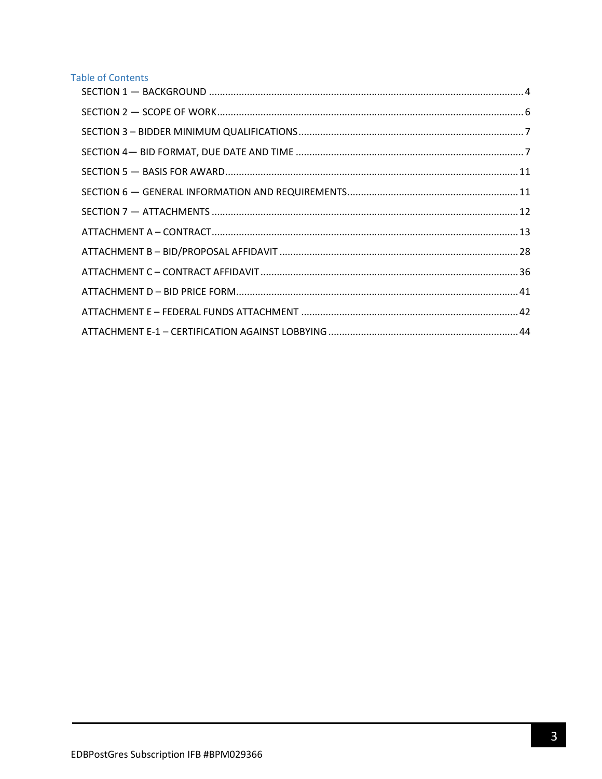# **Table of Contents**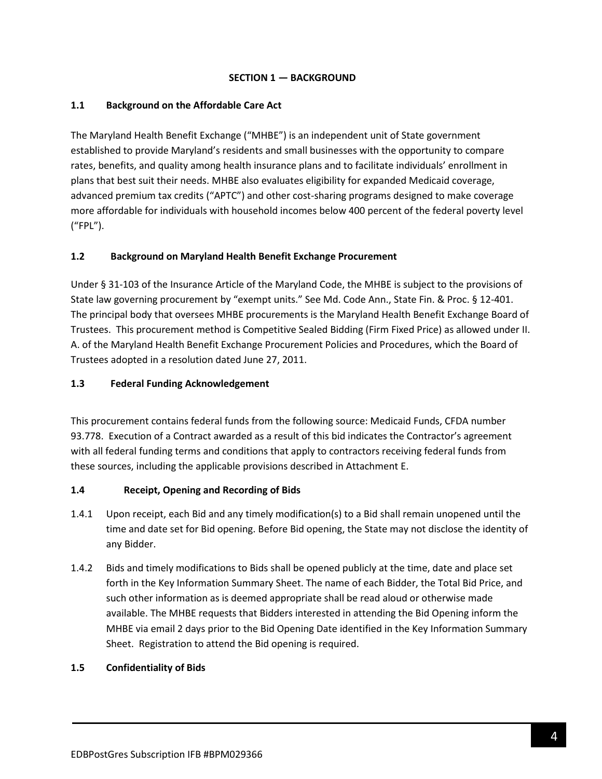### **SECTION 1 — BACKGROUND**

### <span id="page-3-0"></span>**1.1 Background on the Affordable Care Act**

The Maryland Health Benefit Exchange ("MHBE") is an independent unit of State government established to provide Maryland's residents and small businesses with the opportunity to compare rates, benefits, and quality among health insurance plans and to facilitate individuals' enrollment in plans that best suit their needs. MHBE also evaluates eligibility for expanded Medicaid coverage, advanced premium tax credits ("APTC") and other cost-sharing programs designed to make coverage more affordable for individuals with household incomes below 400 percent of the federal poverty level ("FPL").

## **1.2 Background on Maryland Health Benefit Exchange Procurement**

Under § 31-103 of the Insurance Article of the Maryland Code, the MHBE is subject to the provisions of State law governing procurement by "exempt units." See Md. Code Ann., State Fin. & Proc. § 12-401. The principal body that oversees MHBE procurements is the Maryland Health Benefit Exchange Board of Trustees. This procurement method is Competitive Sealed Bidding (Firm Fixed Price) as allowed under II. A. of the Maryland Health Benefit Exchange Procurement Policies and Procedures, which the Board of Trustees adopted in a resolution dated June 27, 2011.

### **1.3 Federal Funding Acknowledgement**

This procurement contains federal funds from the following source: Medicaid Funds, CFDA number 93.778. Execution of a Contract awarded as a result of this bid indicates the Contractor's agreement with all federal funding terms and conditions that apply to contractors receiving federal funds from these sources, including the applicable provisions described in Attachment E.

### **1.4 Receipt, Opening and Recording of Bids**

- 1.4.1 Upon receipt, each Bid and any timely modification(s) to a Bid shall remain unopened until the time and date set for Bid opening. Before Bid opening, the State may not disclose the identity of any Bidder.
- 1.4.2 Bids and timely modifications to Bids shall be opened publicly at the time, date and place set forth in the Key Information Summary Sheet. The name of each Bidder, the Total Bid Price, and such other information as is deemed appropriate shall be read aloud or otherwise made available. The MHBE requests that Bidders interested in attending the Bid Opening inform the MHBE via email 2 days prior to the Bid Opening Date identified in the Key Information Summary Sheet. Registration to attend the Bid opening is required.

### **1.5 Confidentiality of Bids**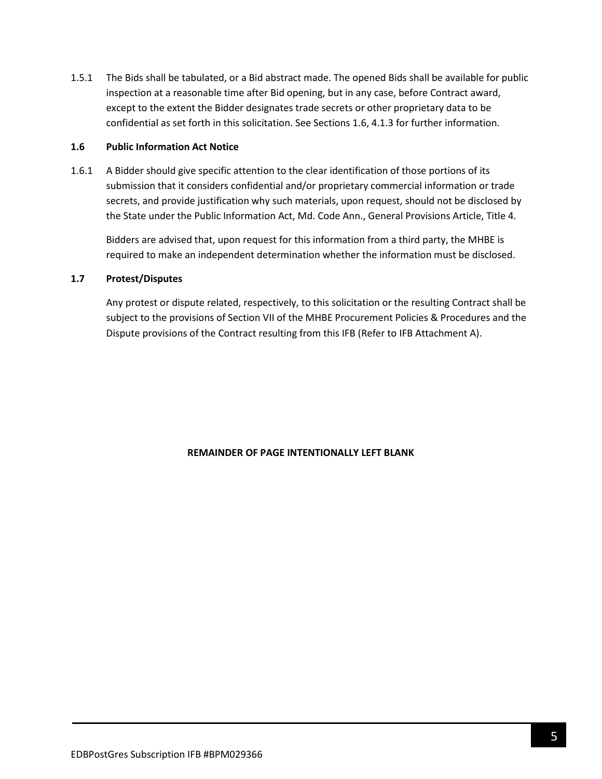1.5.1 The Bids shall be tabulated, or a Bid abstract made. The opened Bids shall be available for public inspection at a reasonable time after Bid opening, but in any case, before Contract award, except to the extent the Bidder designates trade secrets or other proprietary data to be confidential as set forth in this solicitation. See Sections 1.6, 4.1.3 for further information.

#### **1.6 Public Information Act Notice**

1.6.1 A Bidder should give specific attention to the clear identification of those portions of its submission that it considers confidential and/or proprietary commercial information or trade secrets, and provide justification why such materials, upon request, should not be disclosed by the State under the Public Information Act, Md. Code Ann., General Provisions Article, Title 4.

Bidders are advised that, upon request for this information from a third party, the MHBE is required to make an independent determination whether the information must be disclosed.

### **1.7 Protest/Disputes**

Any protest or dispute related, respectively, to this solicitation or the resulting Contract shall be subject to the provisions of Section VII of the MHBE Procurement Policies & Procedures and the Dispute provisions of the Contract resulting from this IFB (Refer to IFB Attachment A).

### **REMAINDER OF PAGE INTENTIONALLY LEFT BLANK**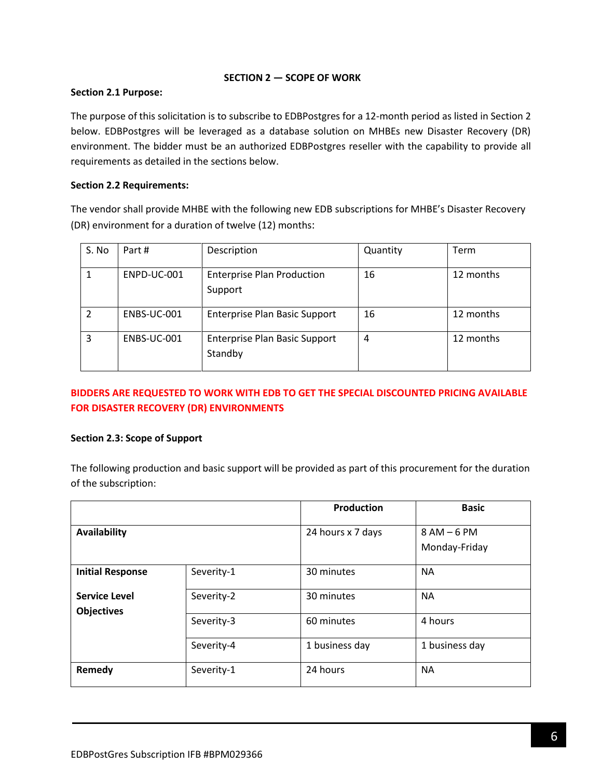### **SECTION 2 — SCOPE OF WORK**

#### <span id="page-5-0"></span>**Section 2.1 Purpose:**

The purpose of this solicitation is to subscribe to EDBPostgres for a 12-month period as listed in Section 2 below. EDBPostgres will be leveraged as a database solution on MHBEs new Disaster Recovery (DR) environment. The bidder must be an authorized EDBPostgres reseller with the capability to provide all requirements as detailed in the sections below.

### **Section 2.2 Requirements:**

The vendor shall provide MHBE with the following new EDB subscriptions for MHBE's Disaster Recovery (DR) environment for a duration of twelve (12) months:

| S. No          | Part #      | Description                                  | Quantity | Term      |
|----------------|-------------|----------------------------------------------|----------|-----------|
|                | ENPD-UC-001 | <b>Enterprise Plan Production</b><br>Support | 16       | 12 months |
| $\mathfrak{p}$ | ENBS-UC-001 | Enterprise Plan Basic Support                | 16       | 12 months |
| 3              | ENBS-UC-001 | Enterprise Plan Basic Support<br>Standby     | 4        | 12 months |

# **BIDDERS ARE REQUESTED TO WORK WITH EDB TO GET THE SPECIAL DISCOUNTED PRICING AVAILABLE FOR DISASTER RECOVERY (DR) ENVIRONMENTS**

### **Section 2.3: Scope of Support**

The following production and basic support will be provided as part of this procurement for the duration of the subscription:

|                                           |            | <b>Production</b> | <b>Basic</b>   |
|-------------------------------------------|------------|-------------------|----------------|
| Availability                              |            | 24 hours x 7 days | $8 AM - 6 PM$  |
|                                           |            |                   | Monday-Friday  |
| <b>Initial Response</b>                   | Severity-1 | 30 minutes        | <b>NA</b>      |
| <b>Service Level</b><br><b>Objectives</b> | Severity-2 | 30 minutes        | <b>NA</b>      |
|                                           | Severity-3 | 60 minutes        | 4 hours        |
|                                           | Severity-4 | 1 business day    | 1 business day |
| Remedy                                    | Severity-1 | 24 hours          | <b>NA</b>      |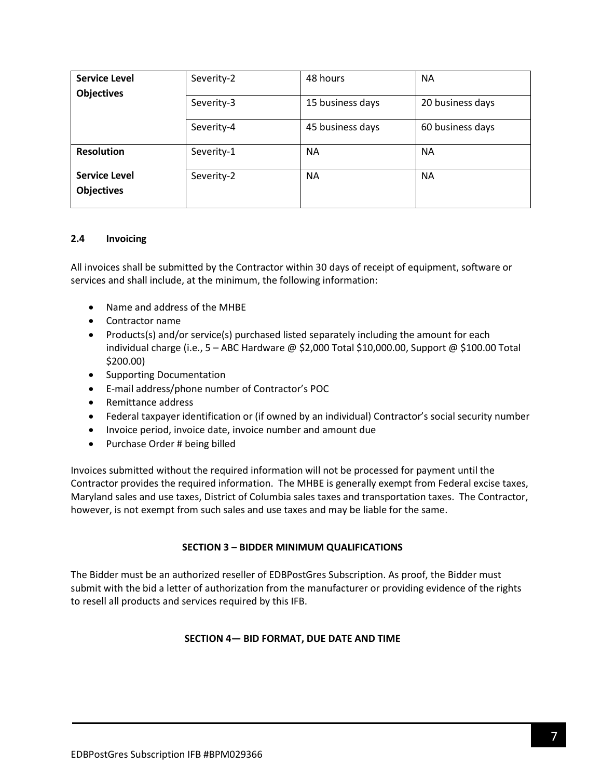| <b>Service Level</b>                      | Severity-2 | 48 hours         | <b>NA</b>        |
|-------------------------------------------|------------|------------------|------------------|
| <b>Objectives</b>                         | Severity-3 | 15 business days | 20 business days |
|                                           | Severity-4 | 45 business days | 60 business days |
| <b>Resolution</b>                         | Severity-1 | NА               | <b>NA</b>        |
| <b>Service Level</b><br><b>Objectives</b> | Severity-2 | <b>NA</b>        | <b>NA</b>        |

### **2.4 Invoicing**

All invoices shall be submitted by the Contractor within 30 days of receipt of equipment, software or services and shall include, at the minimum, the following information:

- Name and address of the MHBE
- Contractor name
- Products(s) and/or service(s) purchased listed separately including the amount for each individual charge (i.e., 5 – ABC Hardware @ \$2,000 Total \$10,000.00, Support @ \$100.00 Total \$200.00)
- Supporting Documentation
- E-mail address/phone number of Contractor's POC
- Remittance address
- Federal taxpayer identification or (if owned by an individual) Contractor's social security number
- Invoice period, invoice date, invoice number and amount due
- Purchase Order # being billed

Invoices submitted without the required information will not be processed for payment until the Contractor provides the required information. The MHBE is generally exempt from Federal excise taxes, Maryland sales and use taxes, District of Columbia sales taxes and transportation taxes. The Contractor, however, is not exempt from such sales and use taxes and may be liable for the same.

### **SECTION 3 – BIDDER MINIMUM QUALIFICATIONS**

<span id="page-6-1"></span><span id="page-6-0"></span>The Bidder must be an authorized reseller of EDBPostGres Subscription. As proof, the Bidder must submit with the bid a letter of authorization from the manufacturer or providing evidence of the rights to resell all products and services required by this IFB.

### **SECTION 4— BID FORMAT, DUE DATE AND TIME**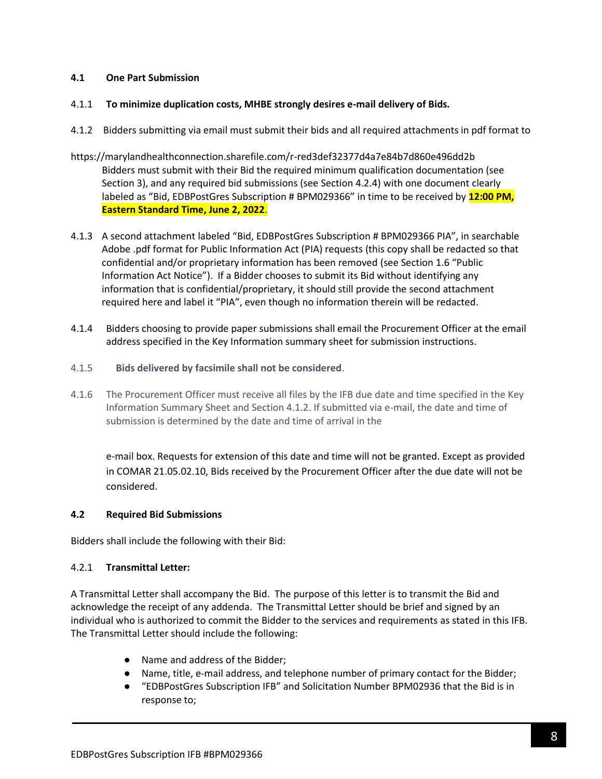### **4.1 One Part Submission**

### 4.1.1 **To minimize duplication costs, MHBE strongly desires e-mail delivery of Bids***.*

- 4.1.2 Bidders submitting via email must submit their bids and all required attachments in pdf format to
- https://marylandhealthconnection.sharefile.com/r-red3def32377d4a7e84b7d860e496dd2b Bidders must submit with their Bid the required minimum qualification documentation (see Section 3), and any required bid submissions (see Section 4.2.4) with one document clearly labeled as "Bid, EDBPostGres Subscription # BPM029366" in time to be received by **12:00 PM, Eastern Standard Time, June 2, 2022**.
- 4.1.3 A second attachment labeled "Bid, EDBPostGres Subscription # BPM029366 PIA", in searchable Adobe .pdf format for Public Information Act (PIA) requests (this copy shall be redacted so that confidential and/or proprietary information has been removed (see Section 1.6 "Public Information Act Notice"). If a Bidder chooses to submit its Bid without identifying any information that is confidential/proprietary, it should still provide the second attachment required here and label it "PIA", even though no information therein will be redacted.
- 4.1.4 Bidders choosing to provide paper submissions shall email the Procurement Officer at the email address specified in the Key Information summary sheet for submission instructions.
- 4.1.5 **Bids delivered by facsimile shall not be considered**.
- 4.1.6 The Procurement Officer must receive all files by the IFB due date and time specified in the Key Information Summary Sheet and Section 4.1.2. If submitted via e-mail, the date and time of submission is determined by the date and time of arrival in the

e-mail box. Requests for extension of this date and time will not be granted. Except as provided in COMAR 21.05.02.10, Bids received by the Procurement Officer after the due date will not be considered.

## **4.2 Required Bid Submissions**

Bidders shall include the following with their Bid:

### 4.2.1 **Transmittal Letter:**

A Transmittal Letter shall accompany the Bid. The purpose of this letter is to transmit the Bid and acknowledge the receipt of any addenda. The Transmittal Letter should be brief and signed by an individual who is authorized to commit the Bidder to the services and requirements as stated in this IFB. The Transmittal Letter should include the following:

- Name and address of the Bidder;
- Name, title, e-mail address, and telephone number of primary contact for the Bidder;
- "EDBPostGres Subscription IFB" and Solicitation Number BPM02936 that the Bid is in response to;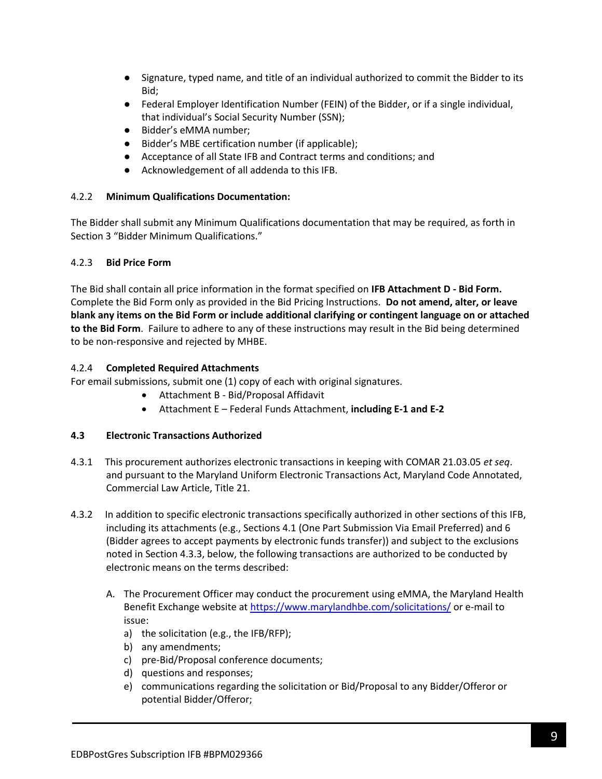- Signature, typed name, and title of an individual authorized to commit the Bidder to its Bid;
- Federal Employer Identification Number (FEIN) of the Bidder, or if a single individual, that individual's Social Security Number (SSN);
- Bidder's eMMA number;
- Bidder's MBE certification number (if applicable);
- Acceptance of all State IFB and Contract terms and conditions; and
- Acknowledgement of all addenda to this IFB.

### 4.2.2 **Minimum Qualifications Documentation:**

The Bidder shall submit any Minimum Qualifications documentation that may be required, as forth in Section 3 "Bidder Minimum Qualifications."

## 4.2.3 **Bid Price Form**

The Bid shall contain all price information in the format specified on **IFB Attachment D - Bid Form.** Complete the Bid Form only as provided in the Bid Pricing Instructions. **Do not amend, alter, or leave blank any items on the Bid Form or include additional clarifying or contingent language on or attached to the Bid Form**. Failure to adhere to any of these instructions may result in the Bid being determined to be non-responsive and rejected by MHBE.

### 4.2.4 **Completed Required Attachments**

For email submissions, submit one (1) copy of each with original signatures.

- Attachment B Bid/Proposal Affidavit
- Attachment E Federal Funds Attachment, **including E-1 and E-2**

## **4.3 Electronic Transactions Authorized**

- 4.3.1 This procurement authorizes electronic transactions in keeping with COMAR 21.03.05 *et seq*. and pursuant to the Maryland Uniform Electronic Transactions Act, Maryland Code Annotated, Commercial Law Article, Title 21.
- 4.3.2 In addition to specific electronic transactions specifically authorized in other sections of this IFB, including its attachments (e.g., Sections 4.1 (One Part Submission Via Email Preferred) and 6 (Bidder agrees to accept payments by electronic funds transfer)) and subject to the exclusions noted in Section 4.3.3, below, the following transactions are authorized to be conducted by electronic means on the terms described:
	- A. The Procurement Officer may conduct the procurement using eMMA, the Maryland Health Benefit Exchange website a[t https://www.marylandhbe.com/solicitations/](https://www.marylandhbe.com/solicitations/) or e-mail to issue:
		- a) the solicitation (e.g., the IFB/RFP);
		- b) any amendments;
		- c) pre-Bid/Proposal conference documents;
		- d) questions and responses;
		- e) communications regarding the solicitation or Bid/Proposal to any Bidder/Offeror or potential Bidder/Offeror;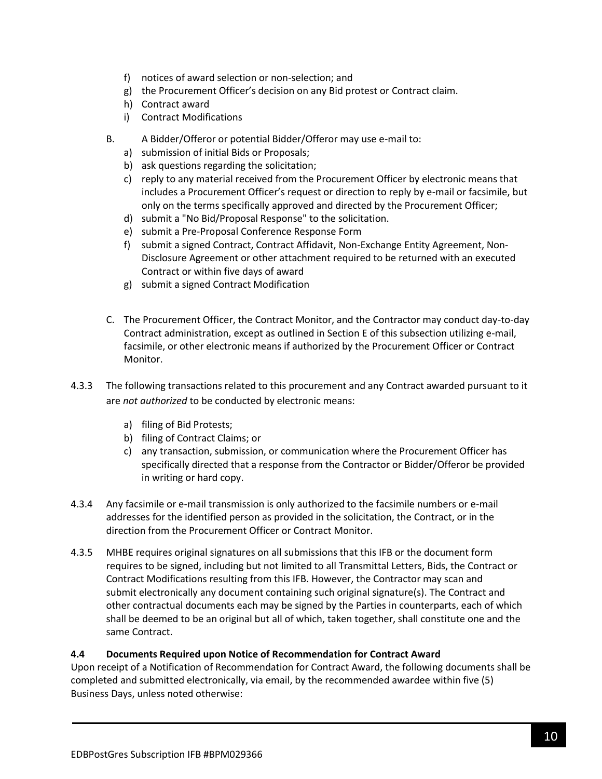- f) notices of award selection or non-selection; and
- g) the Procurement Officer's decision on any Bid protest or Contract claim.
- h) Contract award
- i) Contract Modifications
- B. A Bidder/Offeror or potential Bidder/Offeror may use e-mail to:
	- a) submission of initial Bids or Proposals;
	- b) ask questions regarding the solicitation;
	- c) reply to any material received from the Procurement Officer by electronic means that includes a Procurement Officer's request or direction to reply by e-mail or facsimile, but only on the terms specifically approved and directed by the Procurement Officer;
	- d) submit a "No Bid/Proposal Response" to the solicitation.
	- e) submit a Pre-Proposal Conference Response Form
	- f) submit a signed Contract, Contract Affidavit, Non-Exchange Entity Agreement, Non-Disclosure Agreement or other attachment required to be returned with an executed Contract or within five days of award
	- g) submit a signed Contract Modification
- C. The Procurement Officer, the Contract Monitor, and the Contractor may conduct day-to-day Contract administration, except as outlined in Section E of this subsection utilizing e-mail, facsimile, or other electronic means if authorized by the Procurement Officer or Contract Monitor.
- 4.3.3 The following transactions related to this procurement and any Contract awarded pursuant to it are *not authorized* to be conducted by electronic means:
	- a) filing of Bid Protests;
	- b) filing of Contract Claims; or
	- c) any transaction, submission, or communication where the Procurement Officer has specifically directed that a response from the Contractor or Bidder/Offeror be provided in writing or hard copy.
- 4.3.4 Any facsimile or e-mail transmission is only authorized to the facsimile numbers or e-mail addresses for the identified person as provided in the solicitation, the Contract, or in the direction from the Procurement Officer or Contract Monitor.
- 4.3.5 MHBE requires original signatures on all submissions that this IFB or the document form requires to be signed, including but not limited to all Transmittal Letters, Bids, the Contract or Contract Modifications resulting from this IFB. However, the Contractor may scan and submit electronically any document containing such original signature(s). The Contract and other contractual documents each may be signed by the Parties in counterparts, each of which shall be deemed to be an original but all of which, taken together, shall constitute one and the same Contract.

### **4.4 Documents Required upon Notice of Recommendation for Contract Award**

Upon receipt of a Notification of Recommendation for Contract Award, the following documents shall be completed and submitted electronically, via email, by the recommended awardee within five (5) Business Days, unless noted otherwise: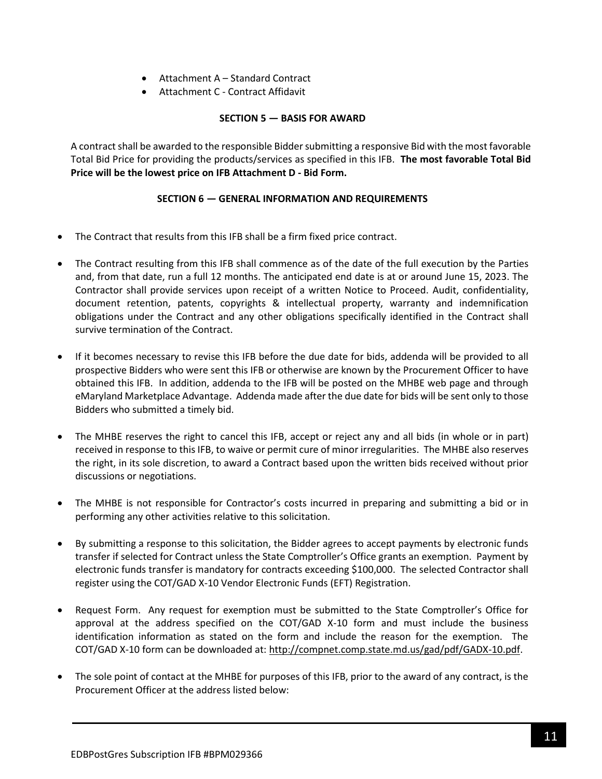- Attachment A Standard Contract
- Attachment C Contract Affidavit

### **SECTION 5 — BASIS FOR AWARD**

<span id="page-10-0"></span>A contract shall be awarded to the responsible Bidder submitting a responsive Bid with the most favorable Total Bid Price for providing the products/services as specified in this IFB. **The most favorable Total Bid Price will be the lowest price on IFB Attachment D - Bid Form.**

### **SECTION 6 — GENERAL INFORMATION AND REQUIREMENTS**

- <span id="page-10-1"></span>• The Contract that results from this IFB shall be a firm fixed price contract.
- The Contract resulting from this IFB shall commence as of the date of the full execution by the Parties and, from that date, run a full 12 months. The anticipated end date is at or around June 15, 2023. The Contractor shall provide services upon receipt of a written Notice to Proceed. Audit, confidentiality, document retention, patents, copyrights & intellectual property, warranty and indemnification obligations under the Contract and any other obligations specifically identified in the Contract shall survive termination of the Contract.
- If it becomes necessary to revise this IFB before the due date for bids, addenda will be provided to all prospective Bidders who were sent this IFB or otherwise are known by the Procurement Officer to have obtained this IFB. In addition, addenda to the IFB will be posted on the MHBE web page and through eMaryland Marketplace Advantage. Addenda made after the due date for bids will be sent only to those Bidders who submitted a timely bid.
- The MHBE reserves the right to cancel this IFB, accept or reject any and all bids (in whole or in part) received in response to this IFB, to waive or permit cure of minor irregularities. The MHBE also reserves the right, in its sole discretion, to award a Contract based upon the written bids received without prior discussions or negotiations.
- The MHBE is not responsible for Contractor's costs incurred in preparing and submitting a bid or in performing any other activities relative to this solicitation.
- By submitting a response to this solicitation, the Bidder agrees to accept payments by electronic funds transfer if selected for Contract unless the State Comptroller's Office grants an exemption. Payment by electronic funds transfer is mandatory for contracts exceeding \$100,000. The selected Contractor shall register using the COT/GAD X-10 Vendor Electronic Funds (EFT) Registration.
- Request Form. Any request for exemption must be submitted to the State Comptroller's Office for approval at the address specified on the COT/GAD X-10 form and must include the business identification information as stated on the form and include the reason for the exemption. The COT/GAD X-10 form can be downloaded at[: http://compnet.comp.state.md.us/gad/pdf/GADX-10.pdf.](http://compnet.comp.state.md.us/gad/pdf/GADX-10.pdf)
- The sole point of contact at the MHBE for purposes of this IFB, prior to the award of any contract, is the Procurement Officer at the address listed below: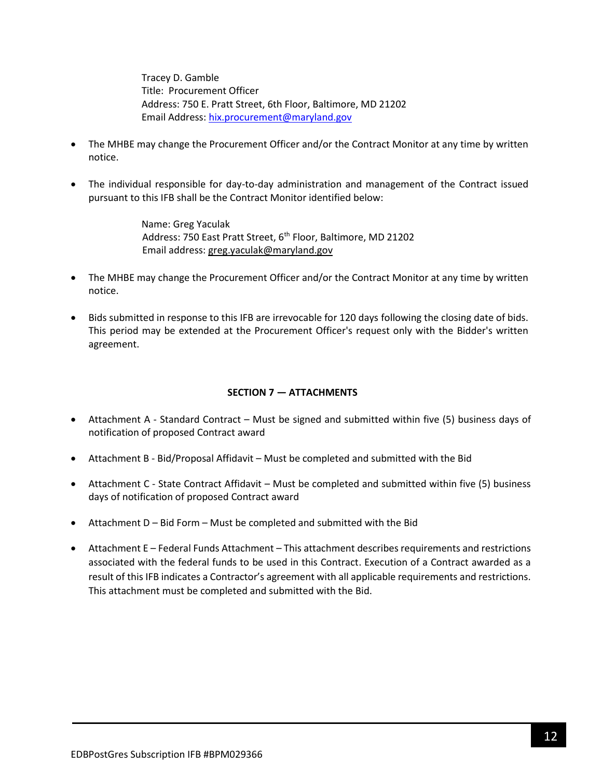Tracey D. Gamble Title: Procurement Officer Address: 750 E. Pratt Street, 6th Floor, Baltimore, MD 21202 Email Address: [hix.procurement@maryland.gov](mailto:hix.procurement@maryland.gov)

- The MHBE may change the Procurement Officer and/or the Contract Monitor at any time by written notice.
- The individual responsible for day-to-day administration and management of the Contract issued pursuant to this IFB shall be the Contract Monitor identified below:

Name: Greg Yaculak Address: 750 East Pratt Street, 6<sup>th</sup> Floor, Baltimore, MD 21202 Email address: [greg.yaculak@maryland.gov](mailto:greg.yaculak@maryland.gov) 

- The MHBE may change the Procurement Officer and/or the Contract Monitor at any time by written notice.
- Bids submitted in response to this IFB are irrevocable for 120 days following the closing date of bids. This period may be extended at the Procurement Officer's request only with the Bidder's written agreement.

### **SECTION 7 — ATTACHMENTS**

- <span id="page-11-0"></span>• Attachment A - Standard Contract – Must be signed and submitted within five (5) business days of notification of proposed Contract award
- Attachment B Bid/Proposal Affidavit Must be completed and submitted with the Bid
- Attachment C State Contract Affidavit Must be completed and submitted within five (5) business days of notification of proposed Contract award
- Attachment D Bid Form Must be completed and submitted with the Bid
- Attachment E Federal Funds Attachment This attachment describes requirements and restrictions associated with the federal funds to be used in this Contract. Execution of a Contract awarded as a result of this IFB indicates a Contractor's agreement with all applicable requirements and restrictions. This attachment must be completed and submitted with the Bid.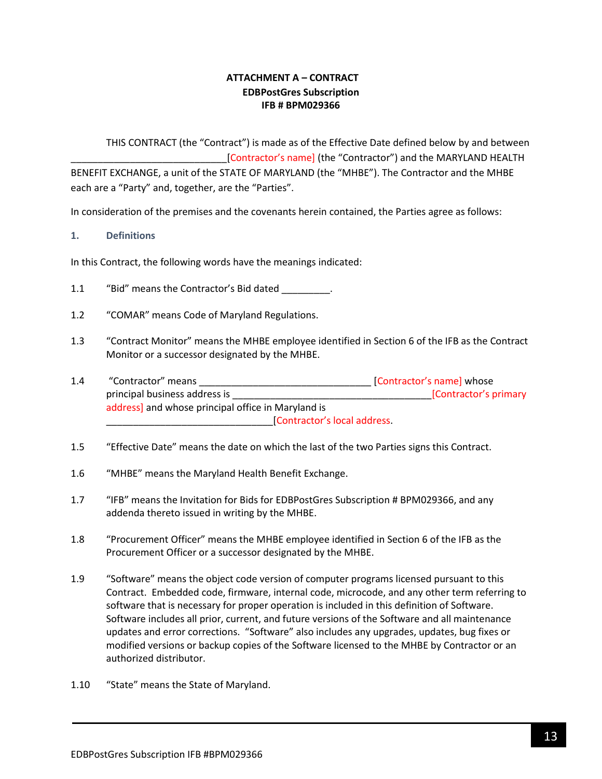## **ATTACHMENT A – CONTRACT EDBPostGres Subscription IFB # BPM029366**

<span id="page-12-0"></span>THIS CONTRACT (the "Contract") is made as of the Effective Date defined below by and between [Contractor's name] (the "Contractor") and the MARYLAND HEALTH BENEFIT EXCHANGE, a unit of the STATE OF MARYLAND (the "MHBE"). The Contractor and the MHBE each are a "Party" and, together, are the "Parties".

In consideration of the premises and the covenants herein contained, the Parties agree as follows:

### **1. Definitions**

In this Contract, the following words have the meanings indicated:

- 1.1 "Bid" means the Contractor's Bid dated .
- 1.2 "COMAR" means Code of Maryland Regulations.
- 1.3 "Contract Monitor" means the MHBE employee identified in Section 6 of the IFB as the Contract Monitor or a successor designated by the MHBE.
- 1.4 "Contractor" means \_\_\_\_\_\_\_\_\_\_\_\_\_\_\_\_\_\_\_\_\_\_\_\_\_\_\_\_\_\_\_\_ [Contractor's name] whose principal business address is \_\_\_\_\_\_\_\_\_\_\_\_\_\_\_\_\_\_\_\_\_\_\_\_\_\_\_\_\_\_\_\_\_\_\_\_\_[Contractor's primary address] and whose principal office in Maryland is \_\_\_\_\_\_\_\_\_\_\_\_\_\_\_\_\_\_\_\_\_\_\_\_\_\_\_\_\_\_\_[Contractor's local address.
- 1.5 "Effective Date" means the date on which the last of the two Parties signs this Contract.
- 1.6 "MHBE" means the Maryland Health Benefit Exchange.
- 1.7 "IFB" means the Invitation for Bids for EDBPostGres Subscription # BPM029366, and any addenda thereto issued in writing by the MHBE.
- 1.8 "Procurement Officer" means the MHBE employee identified in Section 6 of the IFB as the Procurement Officer or a successor designated by the MHBE.
- 1.9 "Software" means the object code version of computer programs licensed pursuant to this Contract. Embedded code, firmware, internal code, microcode, and any other term referring to software that is necessary for proper operation is included in this definition of Software. Software includes all prior, current, and future versions of the Software and all maintenance updates and error corrections. "Software" also includes any upgrades, updates, bug fixes or modified versions or backup copies of the Software licensed to the MHBE by Contractor or an authorized distributor.
- 1.10 "State" means the State of Maryland.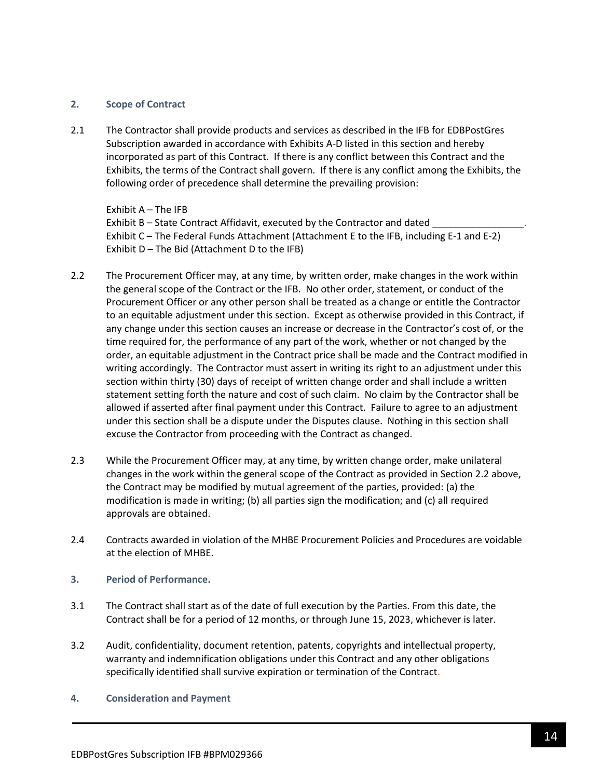#### **2. Scope of Contract**

2.1 The Contractor shall provide products and services as described in the IFB for EDBPostGres Subscription awarded in accordance with Exhibits A-D listed in this section and hereby incorporated as part of this Contract. If there is any conflict between this Contract and the Exhibits, the terms of the Contract shall govern. If there is any conflict among the Exhibits, the following order of precedence shall determine the prevailing provision:

Exhibit A – The IFB Exhibit B – State Contract Affidavit, executed by the Contractor and dated Exhibit C – The Federal Funds Attachment (Attachment E to the IFB, including E-1 and E-2) Exhibit D – The Bid (Attachment D to the IFB)

- 2.2 The Procurement Officer may, at any time, by written order, make changes in the work within the general scope of the Contract or the IFB. No other order, statement, or conduct of the Procurement Officer or any other person shall be treated as a change or entitle the Contractor to an equitable adjustment under this section. Except as otherwise provided in this Contract, if any change under this section causes an increase or decrease in the Contractor's cost of, or the time required for, the performance of any part of the work, whether or not changed by the order, an equitable adjustment in the Contract price shall be made and the Contract modified in writing accordingly. The Contractor must assert in writing its right to an adjustment under this section within thirty (30) days of receipt of written change order and shall include a written statement setting forth the nature and cost of such claim. No claim by the Contractor shall be allowed if asserted after final payment under this Contract. Failure to agree to an adjustment under this section shall be a dispute under the Disputes clause. Nothing in this section shall excuse the Contractor from proceeding with the Contract as changed.
- 2.3 While the Procurement Officer may, at any time, by written change order, make unilateral changes in the work within the general scope of the Contract as provided in Section 2.2 above, the Contract may be modified by mutual agreement of the parties, provided: (a) the modification is made in writing; (b) all parties sign the modification; and (c) all required approvals are obtained.
- 2.4 Contracts awarded in violation of the MHBE Procurement Policies and Procedures are voidable at the election of MHBE.
- **3. Period of Performance.**
- 3.1 The Contract shall start as of the date of full execution by the Parties. From this date, the Contract shall be for a period of 12 months, or through June 15, 2023, whichever is later.
- 3.2 Audit, confidentiality, document retention, patents, copyrights and intellectual property, warranty and indemnification obligations under this Contract and any other obligations specifically identified shall survive expiration or termination of the Contract.
- **4. Consideration and Payment**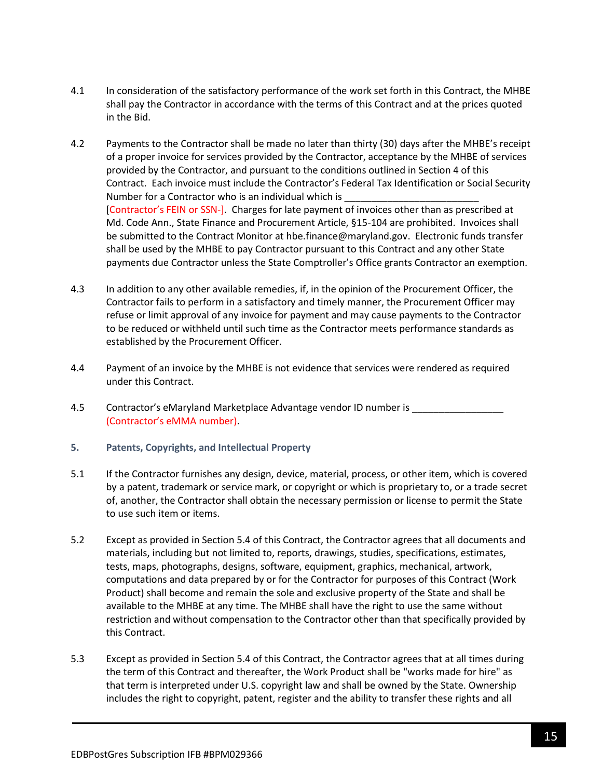- 4.1 In consideration of the satisfactory performance of the work set forth in this Contract, the MHBE shall pay the Contractor in accordance with the terms of this Contract and at the prices quoted in the Bid.
- 4.2 Payments to the Contractor shall be made no later than thirty (30) days after the MHBE's receipt of a proper invoice for services provided by the Contractor, acceptance by the MHBE of services provided by the Contractor, and pursuant to the conditions outlined in Section 4 of this Contract. Each invoice must include the Contractor's Federal Tax Identification or Social Security Number for a Contractor who is an individual which is [Contractor's FEIN or SSN-]. Charges for late payment of invoices other than as prescribed at Md. Code Ann., State Finance and Procurement Article, §15-104 are prohibited. Invoices shall be submitted to the Contract Monitor at hbe.finance@maryland.gov. Electronic funds transfer shall be used by the MHBE to pay Contractor pursuant to this Contract and any other State payments due Contractor unless the State Comptroller's Office grants Contractor an exemption.
- 4.3 In addition to any other available remedies, if, in the opinion of the Procurement Officer, the Contractor fails to perform in a satisfactory and timely manner, the Procurement Officer may refuse or limit approval of any invoice for payment and may cause payments to the Contractor to be reduced or withheld until such time as the Contractor meets performance standards as established by the Procurement Officer.
- 4.4 Payment of an invoice by the MHBE is not evidence that services were rendered as required under this Contract.
- 4.5 Contractor's eMaryland Marketplace Advantage vendor ID number is \_\_\_\_\_\_\_\_\_\_ (Contractor's eMMA number).
- **5. Patents, Copyrights, and Intellectual Property**
- 5.1 If the Contractor furnishes any design, device, material, process, or other item, which is covered by a patent, trademark or service mark, or copyright or which is proprietary to, or a trade secret of, another, the Contractor shall obtain the necessary permission or license to permit the State to use such item or items.
- 5.2 Except as provided in Section 5.4 of this Contract, the Contractor agrees that all documents and materials, including but not limited to, reports, drawings, studies, specifications, estimates, tests, maps, photographs, designs, software, equipment, graphics, mechanical, artwork, computations and data prepared by or for the Contractor for purposes of this Contract (Work Product) shall become and remain the sole and exclusive property of the State and shall be available to the MHBE at any time. The MHBE shall have the right to use the same without restriction and without compensation to the Contractor other than that specifically provided by this Contract.
- 5.3 Except as provided in Section 5.4 of this Contract, the Contractor agrees that at all times during the term of this Contract and thereafter, the Work Product shall be "works made for hire" as that term is interpreted under U.S. copyright law and shall be owned by the State. Ownership includes the right to copyright, patent, register and the ability to transfer these rights and all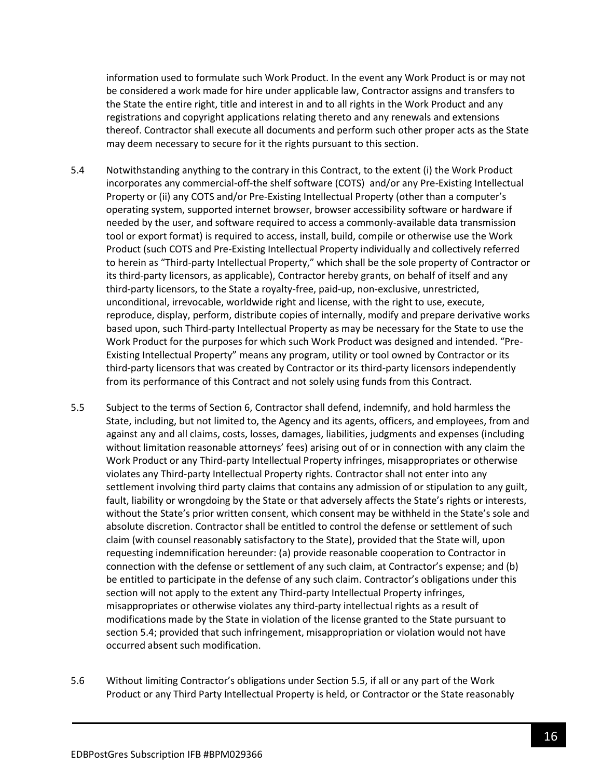information used to formulate such Work Product. In the event any Work Product is or may not be considered a work made for hire under applicable law, Contractor assigns and transfers to the State the entire right, title and interest in and to all rights in the Work Product and any registrations and copyright applications relating thereto and any renewals and extensions thereof. Contractor shall execute all documents and perform such other proper acts as the State may deem necessary to secure for it the rights pursuant to this section.

- 5.4 Notwithstanding anything to the contrary in this Contract, to the extent (i) the Work Product incorporates any commercial-off-the shelf software (COTS) and/or any Pre-Existing Intellectual Property or (ii) any COTS and/or Pre-Existing Intellectual Property (other than a computer's operating system, supported internet browser, browser accessibility software or hardware if needed by the user, and software required to access a commonly-available data transmission tool or export format) is required to access, install, build, compile or otherwise use the Work Product (such COTS and Pre-Existing Intellectual Property individually and collectively referred to herein as "Third-party Intellectual Property," which shall be the sole property of Contractor or its third-party licensors, as applicable), Contractor hereby grants, on behalf of itself and any third-party licensors, to the State a royalty-free, paid-up, non-exclusive, unrestricted, unconditional, irrevocable, worldwide right and license, with the right to use, execute, reproduce, display, perform, distribute copies of internally, modify and prepare derivative works based upon, such Third-party Intellectual Property as may be necessary for the State to use the Work Product for the purposes for which such Work Product was designed and intended. "Pre-Existing Intellectual Property" means any program, utility or tool owned by Contractor or its third-party licensors that was created by Contractor or its third-party licensors independently from its performance of this Contract and not solely using funds from this Contract.
- 5.5 Subject to the terms of Section 6, Contractor shall defend, indemnify, and hold harmless the State, including, but not limited to, the Agency and its agents, officers, and employees, from and against any and all claims, costs, losses, damages, liabilities, judgments and expenses (including without limitation reasonable attorneys' fees) arising out of or in connection with any claim the Work Product or any Third-party Intellectual Property infringes, misappropriates or otherwise violates any Third-party Intellectual Property rights. Contractor shall not enter into any settlement involving third party claims that contains any admission of or stipulation to any guilt, fault, liability or wrongdoing by the State or that adversely affects the State's rights or interests, without the State's prior written consent, which consent may be withheld in the State's sole and absolute discretion. Contractor shall be entitled to control the defense or settlement of such claim (with counsel reasonably satisfactory to the State), provided that the State will, upon requesting indemnification hereunder: (a) provide reasonable cooperation to Contractor in connection with the defense or settlement of any such claim, at Contractor's expense; and (b) be entitled to participate in the defense of any such claim. Contractor's obligations under this section will not apply to the extent any Third-party Intellectual Property infringes, misappropriates or otherwise violates any third-party intellectual rights as a result of modifications made by the State in violation of the license granted to the State pursuant to section 5.4; provided that such infringement, misappropriation or violation would not have occurred absent such modification.
- 5.6 Without limiting Contractor's obligations under Section 5.5, if all or any part of the Work Product or any Third Party Intellectual Property is held, or Contractor or the State reasonably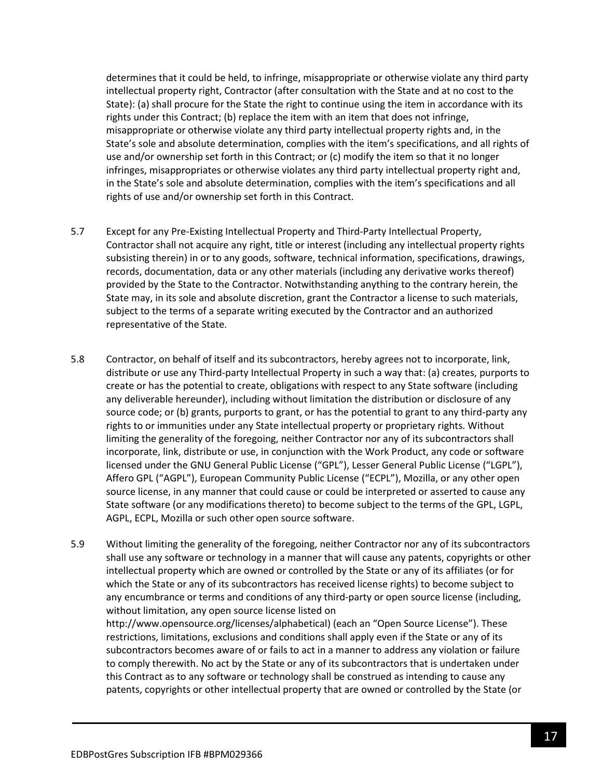determines that it could be held, to infringe, misappropriate or otherwise violate any third party intellectual property right, Contractor (after consultation with the State and at no cost to the State): (a) shall procure for the State the right to continue using the item in accordance with its rights under this Contract; (b) replace the item with an item that does not infringe, misappropriate or otherwise violate any third party intellectual property rights and, in the State's sole and absolute determination, complies with the item's specifications, and all rights of use and/or ownership set forth in this Contract; or (c) modify the item so that it no longer infringes, misappropriates or otherwise violates any third party intellectual property right and, in the State's sole and absolute determination, complies with the item's specifications and all rights of use and/or ownership set forth in this Contract.

- 5.7 Except for any Pre-Existing Intellectual Property and Third-Party Intellectual Property, Contractor shall not acquire any right, title or interest (including any intellectual property rights subsisting therein) in or to any goods, software, technical information, specifications, drawings, records, documentation, data or any other materials (including any derivative works thereof) provided by the State to the Contractor. Notwithstanding anything to the contrary herein, the State may, in its sole and absolute discretion, grant the Contractor a license to such materials, subject to the terms of a separate writing executed by the Contractor and an authorized representative of the State.
- 5.8 Contractor, on behalf of itself and its subcontractors, hereby agrees not to incorporate, link, distribute or use any Third-party Intellectual Property in such a way that: (a) creates, purports to create or has the potential to create, obligations with respect to any State software (including any deliverable hereunder), including without limitation the distribution or disclosure of any source code; or (b) grants, purports to grant, or has the potential to grant to any third-party any rights to or immunities under any State intellectual property or proprietary rights. Without limiting the generality of the foregoing, neither Contractor nor any of its subcontractors shall incorporate, link, distribute or use, in conjunction with the Work Product, any code or software licensed under the GNU General Public License ("GPL"), Lesser General Public License ("LGPL"), Affero GPL ("AGPL"), European Community Public License ("ECPL"), Mozilla, or any other open source license, in any manner that could cause or could be interpreted or asserted to cause any State software (or any modifications thereto) to become subject to the terms of the GPL, LGPL, AGPL, ECPL, Mozilla or such other open source software.
- 5.9 Without limiting the generality of the foregoing, neither Contractor nor any of its subcontractors shall use any software or technology in a manner that will cause any patents, copyrights or other intellectual property which are owned or controlled by the State or any of its affiliates (or for which the State or any of its subcontractors has received license rights) to become subject to any encumbrance or terms and conditions of any third-party or open source license (including, without limitation, any open source license listed on http://www.opensource.org/licenses/alphabetical) (each an "Open Source License"). These restrictions, limitations, exclusions and conditions shall apply even if the State or any of its subcontractors becomes aware of or fails to act in a manner to address any violation or failure to comply therewith. No act by the State or any of its subcontractors that is undertaken under this Contract as to any software or technology shall be construed as intending to cause any patents, copyrights or other intellectual property that are owned or controlled by the State (or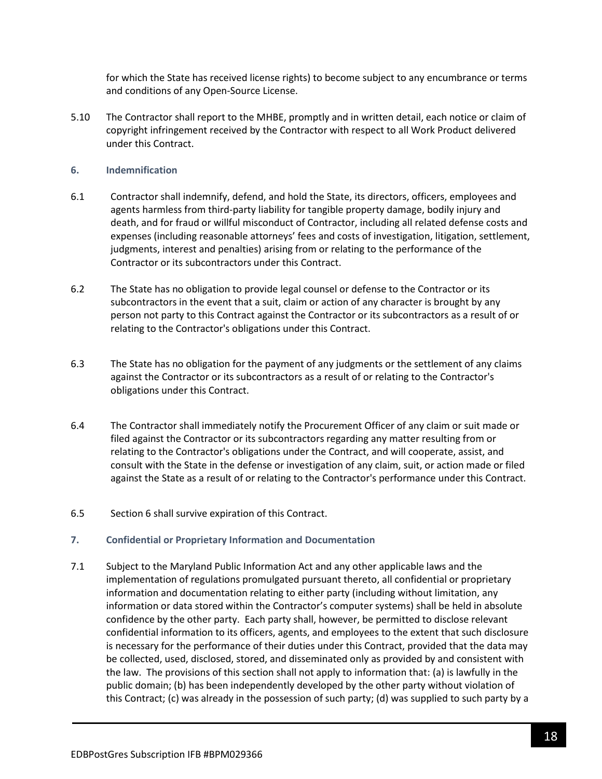for which the State has received license rights) to become subject to any encumbrance or terms and conditions of any Open-Source License.

5.10 The Contractor shall report to the MHBE, promptly and in written detail, each notice or claim of copyright infringement received by the Contractor with respect to all Work Product delivered under this Contract.

#### **6. Indemnification**

- 6.1 Contractor shall indemnify, defend, and hold the State, its directors, officers, employees and agents harmless from third-party liability for tangible property damage, bodily injury and death, and for fraud or willful misconduct of Contractor, including all related defense costs and expenses (including reasonable attorneys' fees and costs of investigation, litigation, settlement, judgments, interest and penalties) arising from or relating to the performance of the Contractor or its subcontractors under this Contract.
- 6.2 The State has no obligation to provide legal counsel or defense to the Contractor or its subcontractors in the event that a suit, claim or action of any character is brought by any person not party to this Contract against the Contractor or its subcontractors as a result of or relating to the Contractor's obligations under this Contract.
- 6.3 The State has no obligation for the payment of any judgments or the settlement of any claims against the Contractor or its subcontractors as a result of or relating to the Contractor's obligations under this Contract.
- 6.4 The Contractor shall immediately notify the Procurement Officer of any claim or suit made or filed against the Contractor or its subcontractors regarding any matter resulting from or relating to the Contractor's obligations under the Contract, and will cooperate, assist, and consult with the State in the defense or investigation of any claim, suit, or action made or filed against the State as a result of or relating to the Contractor's performance under this Contract.
- 6.5 Section 6 shall survive expiration of this Contract.

#### **7. Confidential or Proprietary Information and Documentation**

7.1 Subject to the Maryland Public Information Act and any other applicable laws and the implementation of regulations promulgated pursuant thereto, all confidential or proprietary information and documentation relating to either party (including without limitation, any information or data stored within the Contractor's computer systems) shall be held in absolute confidence by the other party. Each party shall, however, be permitted to disclose relevant confidential information to its officers, agents, and employees to the extent that such disclosure is necessary for the performance of their duties under this Contract, provided that the data may be collected, used, disclosed, stored, and disseminated only as provided by and consistent with the law. The provisions of this section shall not apply to information that: (a) is lawfully in the public domain; (b) has been independently developed by the other party without violation of this Contract; (c) was already in the possession of such party; (d) was supplied to such party by a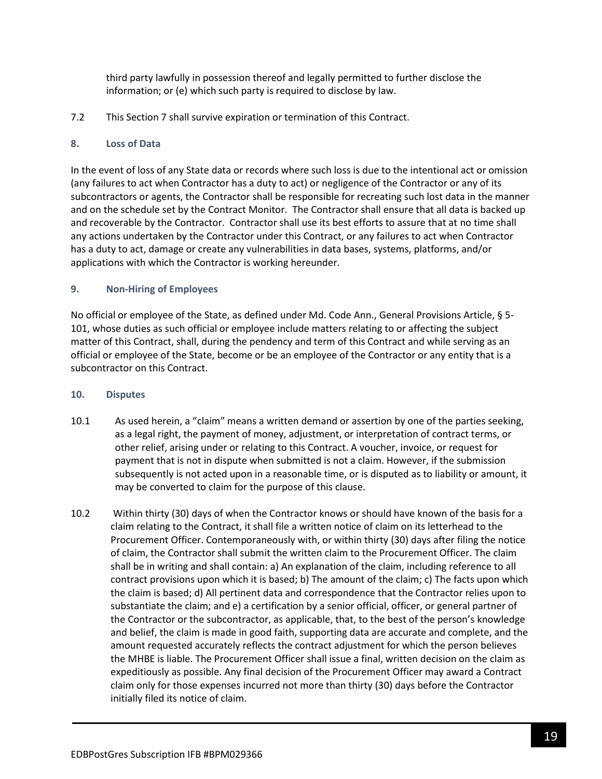third party lawfully in possession thereof and legally permitted to further disclose the information; or (e) which such party is required to disclose by law.

7.2 This Section 7 shall survive expiration or termination of this Contract.

### **8. Loss of Data**

In the event of loss of any State data or records where such loss is due to the intentional act or omission (any failures to act when Contractor has a duty to act) or negligence of the Contractor or any of its subcontractors or agents, the Contractor shall be responsible for recreating such lost data in the manner and on the schedule set by the Contract Monitor. The Contractor shall ensure that all data is backed up and recoverable by the Contractor. Contractor shall use its best efforts to assure that at no time shall any actions undertaken by the Contractor under this Contract, or any failures to act when Contractor has a duty to act, damage or create any vulnerabilities in data bases, systems, platforms, and/or applications with which the Contractor is working hereunder.

### **9. Non-Hiring of Employees**

No official or employee of the State, as defined under Md. Code Ann., General Provisions Article, § 5- 101, whose duties as such official or employee include matters relating to or affecting the subject matter of this Contract, shall, during the pendency and term of this Contract and while serving as an official or employee of the State, become or be an employee of the Contractor or any entity that is a subcontractor on this Contract.

### **10. Disputes**

- 10.1 As used herein, a "claim" means a written demand or assertion by one of the parties seeking, as a legal right, the payment of money, adjustment, or interpretation of contract terms, or other relief, arising under or relating to this Contract. A voucher, invoice, or request for payment that is not in dispute when submitted is not a claim. However, if the submission subsequently is not acted upon in a reasonable time, or is disputed as to liability or amount, it may be converted to claim for the purpose of this clause.
- 10.2 Within thirty (30) days of when the Contractor knows or should have known of the basis for a claim relating to the Contract, it shall file a written notice of claim on its letterhead to the Procurement Officer. Contemporaneously with, or within thirty (30) days after filing the notice of claim, the Contractor shall submit the written claim to the Procurement Officer. The claim shall be in writing and shall contain: a) An explanation of the claim, including reference to all contract provisions upon which it is based; b) The amount of the claim; c) The facts upon which the claim is based; d) All pertinent data and correspondence that the Contractor relies upon to substantiate the claim; and e) a certification by a senior official, officer, or general partner of the Contractor or the subcontractor, as applicable, that, to the best of the person's knowledge and belief, the claim is made in good faith, supporting data are accurate and complete, and the amount requested accurately reflects the contract adjustment for which the person believes the MHBE is liable. The Procurement Officer shall issue a final, written decision on the claim as expeditiously as possible. Any final decision of the Procurement Officer may award a Contract claim only for those expenses incurred not more than thirty (30) days before the Contractor initially filed its notice of claim.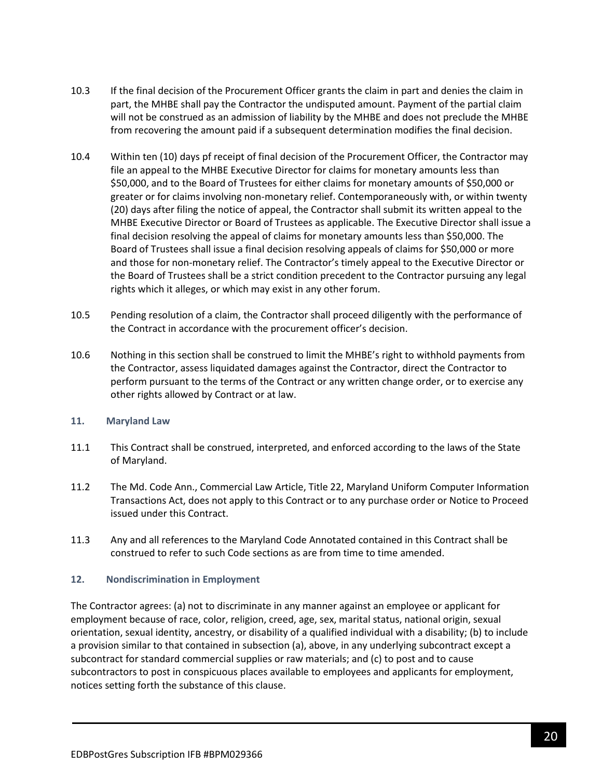- 10.3 If the final decision of the Procurement Officer grants the claim in part and denies the claim in part, the MHBE shall pay the Contractor the undisputed amount. Payment of the partial claim will not be construed as an admission of liability by the MHBE and does not preclude the MHBE from recovering the amount paid if a subsequent determination modifies the final decision.
- 10.4 Within ten (10) days pf receipt of final decision of the Procurement Officer, the Contractor may file an appeal to the MHBE Executive Director for claims for monetary amounts less than \$50,000, and to the Board of Trustees for either claims for monetary amounts of \$50,000 or greater or for claims involving non-monetary relief. Contemporaneously with, or within twenty (20) days after filing the notice of appeal, the Contractor shall submit its written appeal to the MHBE Executive Director or Board of Trustees as applicable. The Executive Director shall issue a final decision resolving the appeal of claims for monetary amounts less than \$50,000. The Board of Trustees shall issue a final decision resolving appeals of claims for \$50,000 or more and those for non-monetary relief. The Contractor's timely appeal to the Executive Director or the Board of Trustees shall be a strict condition precedent to the Contractor pursuing any legal rights which it alleges, or which may exist in any other forum.
- 10.5 Pending resolution of a claim, the Contractor shall proceed diligently with the performance of the Contract in accordance with the procurement officer's decision.
- 10.6 Nothing in this section shall be construed to limit the MHBE's right to withhold payments from the Contractor, assess liquidated damages against the Contractor, direct the Contractor to perform pursuant to the terms of the Contract or any written change order, or to exercise any other rights allowed by Contract or at law.

### **11. Maryland Law**

- 11.1 This Contract shall be construed, interpreted, and enforced according to the laws of the State of Maryland.
- 11.2 The Md. Code Ann., Commercial Law Article, Title 22, Maryland Uniform Computer Information Transactions Act, does not apply to this Contract or to any purchase order or Notice to Proceed issued under this Contract.
- 11.3 Any and all references to the Maryland Code Annotated contained in this Contract shall be construed to refer to such Code sections as are from time to time amended.

### **12. Nondiscrimination in Employment**

The Contractor agrees: (a) not to discriminate in any manner against an employee or applicant for employment because of race, color, religion, creed, age, sex, marital status, national origin, sexual orientation, sexual identity, ancestry, or disability of a qualified individual with a disability; (b) to include a provision similar to that contained in subsection (a), above, in any underlying subcontract except a subcontract for standard commercial supplies or raw materials; and (c) to post and to cause subcontractors to post in conspicuous places available to employees and applicants for employment, notices setting forth the substance of this clause.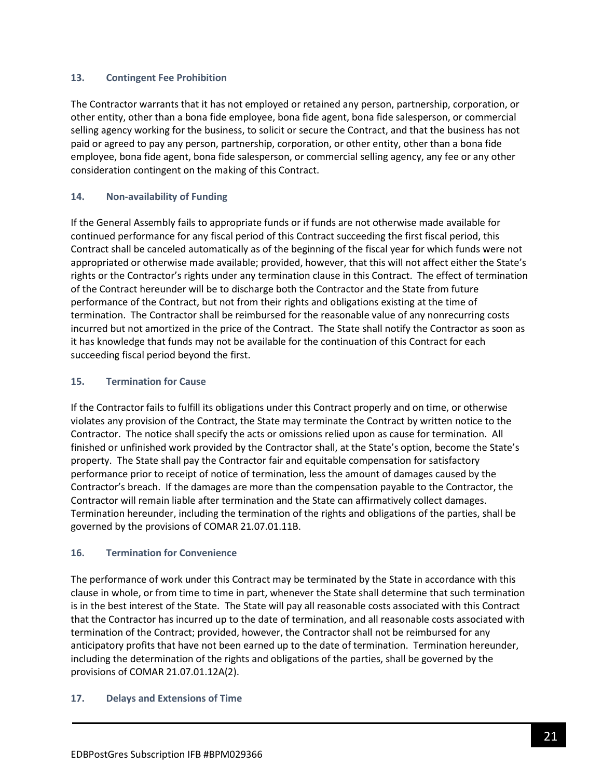### **13. Contingent Fee Prohibition**

The Contractor warrants that it has not employed or retained any person, partnership, corporation, or other entity, other than a bona fide employee, bona fide agent, bona fide salesperson, or commercial selling agency working for the business, to solicit or secure the Contract, and that the business has not paid or agreed to pay any person, partnership, corporation, or other entity, other than a bona fide employee, bona fide agent, bona fide salesperson, or commercial selling agency, any fee or any other consideration contingent on the making of this Contract.

### **14. Non-availability of Funding**

If the General Assembly fails to appropriate funds or if funds are not otherwise made available for continued performance for any fiscal period of this Contract succeeding the first fiscal period, this Contract shall be canceled automatically as of the beginning of the fiscal year for which funds were not appropriated or otherwise made available; provided, however, that this will not affect either the State's rights or the Contractor's rights under any termination clause in this Contract. The effect of termination of the Contract hereunder will be to discharge both the Contractor and the State from future performance of the Contract, but not from their rights and obligations existing at the time of termination. The Contractor shall be reimbursed for the reasonable value of any nonrecurring costs incurred but not amortized in the price of the Contract. The State shall notify the Contractor as soon as it has knowledge that funds may not be available for the continuation of this Contract for each succeeding fiscal period beyond the first.

### **15. Termination for Cause**

If the Contractor fails to fulfill its obligations under this Contract properly and on time, or otherwise violates any provision of the Contract, the State may terminate the Contract by written notice to the Contractor. The notice shall specify the acts or omissions relied upon as cause for termination. All finished or unfinished work provided by the Contractor shall, at the State's option, become the State's property. The State shall pay the Contractor fair and equitable compensation for satisfactory performance prior to receipt of notice of termination, less the amount of damages caused by the Contractor's breach. If the damages are more than the compensation payable to the Contractor, the Contractor will remain liable after termination and the State can affirmatively collect damages. Termination hereunder, including the termination of the rights and obligations of the parties, shall be governed by the provisions of COMAR 21.07.01.11B.

### **16. Termination for Convenience**

The performance of work under this Contract may be terminated by the State in accordance with this clause in whole, or from time to time in part, whenever the State shall determine that such termination is in the best interest of the State. The State will pay all reasonable costs associated with this Contract that the Contractor has incurred up to the date of termination, and all reasonable costs associated with termination of the Contract; provided, however, the Contractor shall not be reimbursed for any anticipatory profits that have not been earned up to the date of termination. Termination hereunder, including the determination of the rights and obligations of the parties, shall be governed by the provisions of COMAR 21.07.01.12A(2).

### **17. Delays and Extensions of Time**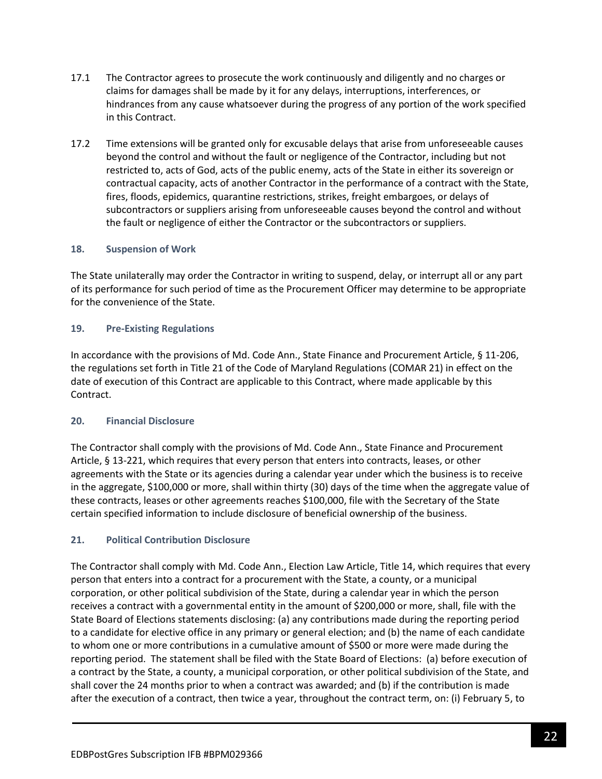- 17.1 The Contractor agrees to prosecute the work continuously and diligently and no charges or claims for damages shall be made by it for any delays, interruptions, interferences, or hindrances from any cause whatsoever during the progress of any portion of the work specified in this Contract.
- 17.2 Time extensions will be granted only for excusable delays that arise from unforeseeable causes beyond the control and without the fault or negligence of the Contractor, including but not restricted to, acts of God, acts of the public enemy, acts of the State in either its sovereign or contractual capacity, acts of another Contractor in the performance of a contract with the State, fires, floods, epidemics, quarantine restrictions, strikes, freight embargoes, or delays of subcontractors or suppliers arising from unforeseeable causes beyond the control and without the fault or negligence of either the Contractor or the subcontractors or suppliers.

### **18. Suspension of Work**

The State unilaterally may order the Contractor in writing to suspend, delay, or interrupt all or any part of its performance for such period of time as the Procurement Officer may determine to be appropriate for the convenience of the State.

### **19. Pre-Existing Regulations**

In accordance with the provisions of Md. Code Ann., State Finance and Procurement Article, § 11-206, the regulations set forth in Title 21 of the Code of Maryland Regulations (COMAR 21) in effect on the date of execution of this Contract are applicable to this Contract, where made applicable by this Contract.

### **20. Financial Disclosure**

The Contractor shall comply with the provisions of Md. Code Ann., State Finance and Procurement Article, § 13-221, which requires that every person that enters into contracts, leases, or other agreements with the State or its agencies during a calendar year under which the business is to receive in the aggregate, \$100,000 or more, shall within thirty (30) days of the time when the aggregate value of these contracts, leases or other agreements reaches \$100,000, file with the Secretary of the State certain specified information to include disclosure of beneficial ownership of the business.

## **21. Political Contribution Disclosure**

The Contractor shall comply with Md. Code Ann., Election Law Article, Title 14, which requires that every person that enters into a contract for a procurement with the State, a county, or a municipal corporation, or other political subdivision of the State, during a calendar year in which the person receives a contract with a governmental entity in the amount of \$200,000 or more, shall, file with the State Board of Elections statements disclosing: (a) any contributions made during the reporting period to a candidate for elective office in any primary or general election; and (b) the name of each candidate to whom one or more contributions in a cumulative amount of \$500 or more were made during the reporting period. The statement shall be filed with the State Board of Elections: (a) before execution of a contract by the State, a county, a municipal corporation, or other political subdivision of the State, and shall cover the 24 months prior to when a contract was awarded; and (b) if the contribution is made after the execution of a contract, then twice a year, throughout the contract term, on: (i) February 5, to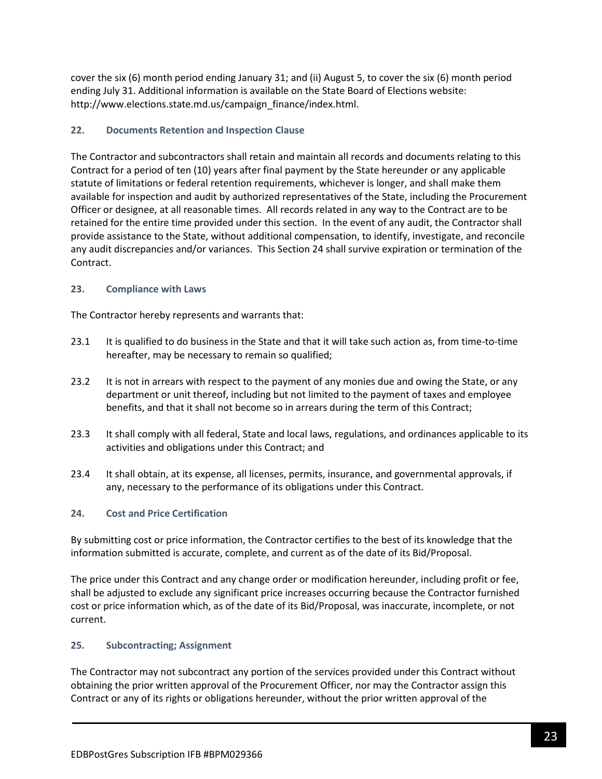cover the six (6) month period ending January 31; and (ii) August 5, to cover the six (6) month period ending July 31. Additional information is available on the State Board of Elections website: http://www.elections.state.md.us/campaign\_finance/index.html.

## **22. Documents Retention and Inspection Clause**

The Contractor and subcontractors shall retain and maintain all records and documents relating to this Contract for a period of ten (10) years after final payment by the State hereunder or any applicable statute of limitations or federal retention requirements, whichever is longer, and shall make them available for inspection and audit by authorized representatives of the State, including the Procurement Officer or designee, at all reasonable times. All records related in any way to the Contract are to be retained for the entire time provided under this section. In the event of any audit, the Contractor shall provide assistance to the State, without additional compensation, to identify, investigate, and reconcile any audit discrepancies and/or variances. This Section 24 shall survive expiration or termination of the Contract.

## **23. Compliance with Laws**

The Contractor hereby represents and warrants that:

- 23.1 It is qualified to do business in the State and that it will take such action as, from time-to-time hereafter, may be necessary to remain so qualified;
- 23.2 It is not in arrears with respect to the payment of any monies due and owing the State, or any department or unit thereof, including but not limited to the payment of taxes and employee benefits, and that it shall not become so in arrears during the term of this Contract;
- 23.3 It shall comply with all federal, State and local laws, regulations, and ordinances applicable to its activities and obligations under this Contract; and
- 23.4 It shall obtain, at its expense, all licenses, permits, insurance, and governmental approvals, if any, necessary to the performance of its obligations under this Contract.

## **24. Cost and Price Certification**

By submitting cost or price information, the Contractor certifies to the best of its knowledge that the information submitted is accurate, complete, and current as of the date of its Bid/Proposal.

The price under this Contract and any change order or modification hereunder, including profit or fee, shall be adjusted to exclude any significant price increases occurring because the Contractor furnished cost or price information which, as of the date of its Bid/Proposal, was inaccurate, incomplete, or not current.

## **25. Subcontracting; Assignment**

The Contractor may not subcontract any portion of the services provided under this Contract without obtaining the prior written approval of the Procurement Officer, nor may the Contractor assign this Contract or any of its rights or obligations hereunder, without the prior written approval of the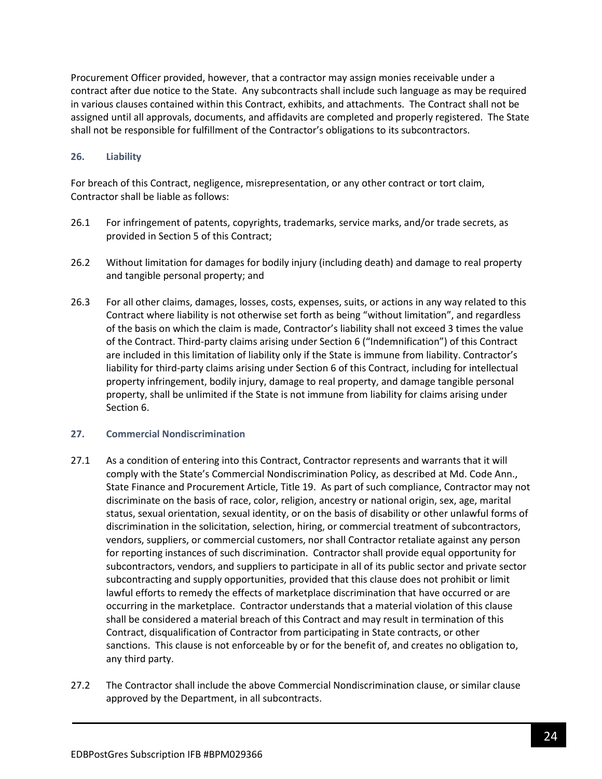Procurement Officer provided, however, that a contractor may assign monies receivable under a contract after due notice to the State. Any subcontracts shall include such language as may be required in various clauses contained within this Contract, exhibits, and attachments. The Contract shall not be assigned until all approvals, documents, and affidavits are completed and properly registered. The State shall not be responsible for fulfillment of the Contractor's obligations to its subcontractors.

### **26. Liability**

For breach of this Contract, negligence, misrepresentation, or any other contract or tort claim, Contractor shall be liable as follows:

- 26.1 For infringement of patents, copyrights, trademarks, service marks, and/or trade secrets, as provided in Section 5 of this Contract;
- 26.2 Without limitation for damages for bodily injury (including death) and damage to real property and tangible personal property; and
- 26.3 For all other claims, damages, losses, costs, expenses, suits, or actions in any way related to this Contract where liability is not otherwise set forth as being "without limitation", and regardless of the basis on which the claim is made, Contractor's liability shall not exceed 3 times the value of the Contract. Third-party claims arising under Section 6 ("Indemnification") of this Contract are included in this limitation of liability only if the State is immune from liability. Contractor's liability for third-party claims arising under Section 6 of this Contract, including for intellectual property infringement, bodily injury, damage to real property, and damage tangible personal property, shall be unlimited if the State is not immune from liability for claims arising under Section 6.

### **27. Commercial Nondiscrimination**

- 27.1 As a condition of entering into this Contract, Contractor represents and warrants that it will comply with the State's Commercial Nondiscrimination Policy, as described at Md. Code Ann., State Finance and Procurement Article, Title 19. As part of such compliance, Contractor may not discriminate on the basis of race, color, religion, ancestry or national origin, sex, age, marital status, sexual orientation, sexual identity, or on the basis of disability or other unlawful forms of discrimination in the solicitation, selection, hiring, or commercial treatment of subcontractors, vendors, suppliers, or commercial customers, nor shall Contractor retaliate against any person for reporting instances of such discrimination. Contractor shall provide equal opportunity for subcontractors, vendors, and suppliers to participate in all of its public sector and private sector subcontracting and supply opportunities, provided that this clause does not prohibit or limit lawful efforts to remedy the effects of marketplace discrimination that have occurred or are occurring in the marketplace. Contractor understands that a material violation of this clause shall be considered a material breach of this Contract and may result in termination of this Contract, disqualification of Contractor from participating in State contracts, or other sanctions. This clause is not enforceable by or for the benefit of, and creates no obligation to, any third party.
- 27.2 The Contractor shall include the above Commercial Nondiscrimination clause, or similar clause approved by the Department, in all subcontracts.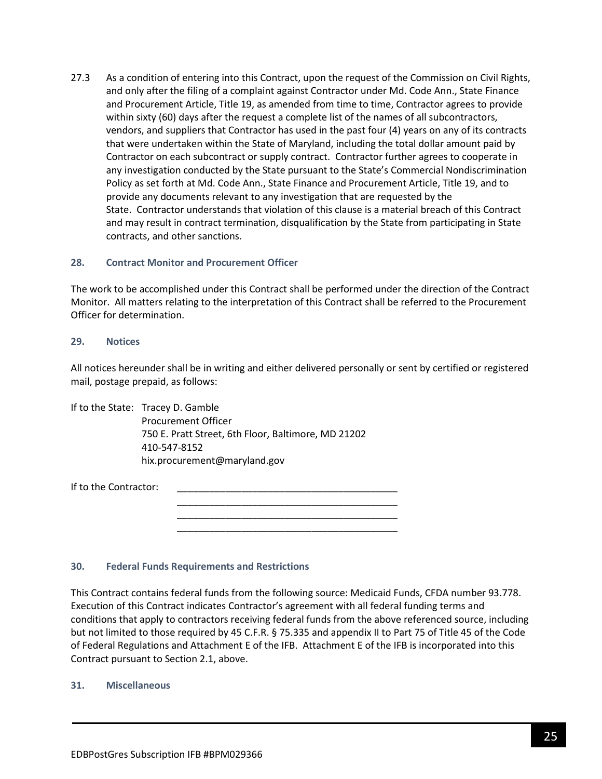27.3 As a condition of entering into this Contract, upon the request of the Commission on Civil Rights, and only after the filing of a complaint against Contractor under Md. Code Ann., State Finance and Procurement Article, Title 19, as amended from time to time, Contractor agrees to provide within sixty (60) days after the request a complete list of the names of all subcontractors, vendors, and suppliers that Contractor has used in the past four (4) years on any of its contracts that were undertaken within the State of Maryland, including the total dollar amount paid by Contractor on each subcontract or supply contract. Contractor further agrees to cooperate in any investigation conducted by the State pursuant to the State's Commercial Nondiscrimination Policy as set forth at Md. Code Ann., State Finance and Procurement Article, Title 19, and to provide any documents relevant to any investigation that are requested by the State. Contractor understands that violation of this clause is a material breach of this Contract and may result in contract termination, disqualification by the State from participating in State contracts, and other sanctions.

#### **28. Contract Monitor and Procurement Officer**

The work to be accomplished under this Contract shall be performed under the direction of the Contract Monitor. All matters relating to the interpretation of this Contract shall be referred to the Procurement Officer for determination.

#### **29. Notices**

All notices hereunder shall be in writing and either delivered personally or sent by certified or registered mail, postage prepaid, as follows:

> \_\_\_\_\_\_\_\_\_\_\_\_\_\_\_\_\_\_\_\_\_\_\_\_\_\_\_\_\_\_\_\_\_\_\_\_\_\_\_\_\_ \_\_\_\_\_\_\_\_\_\_\_\_\_\_\_\_\_\_\_\_\_\_\_\_\_\_\_\_\_\_\_\_\_\_\_\_\_\_\_\_\_ \_\_\_\_\_\_\_\_\_\_\_\_\_\_\_\_\_\_\_\_\_\_\_\_\_\_\_\_\_\_\_\_\_\_\_\_\_\_\_\_\_

If to the State: Tracey D. Gamble Procurement Officer 750 E. Pratt Street, 6th Floor, Baltimore, MD 21202 410-547-8152 hix.procurement@maryland.gov

If to the Contractor:

#### **30. Federal Funds Requirements and Restrictions**

This Contract contains federal funds from the following source: Medicaid Funds, CFDA number 93.778. Execution of this Contract indicates Contractor's agreement with all federal funding terms and conditions that apply to contractors receiving federal funds from the above referenced source, including but not limited to those required by 45 C.F.R. § 75.335 and appendix II to Part 75 of Title 45 of the Code of Federal Regulations and Attachment E of the IFB. Attachment E of the IFB is incorporated into this Contract pursuant to Section 2.1, above.

#### **31. Miscellaneous**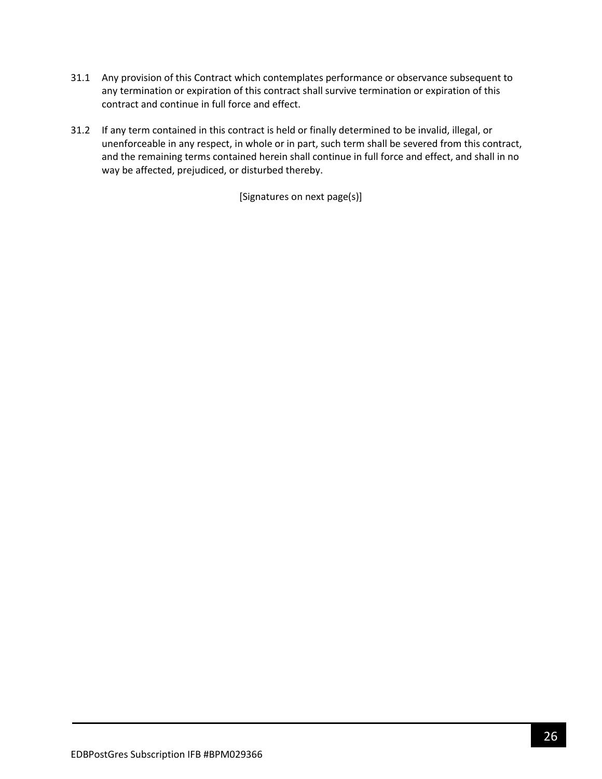- 31.1 Any provision of this Contract which contemplates performance or observance subsequent to any termination or expiration of this contract shall survive termination or expiration of this contract and continue in full force and effect.
- 31.2 If any term contained in this contract is held or finally determined to be invalid, illegal, or unenforceable in any respect, in whole or in part, such term shall be severed from this contract, and the remaining terms contained herein shall continue in full force and effect, and shall in no way be affected, prejudiced, or disturbed thereby.

[Signatures on next page(s)]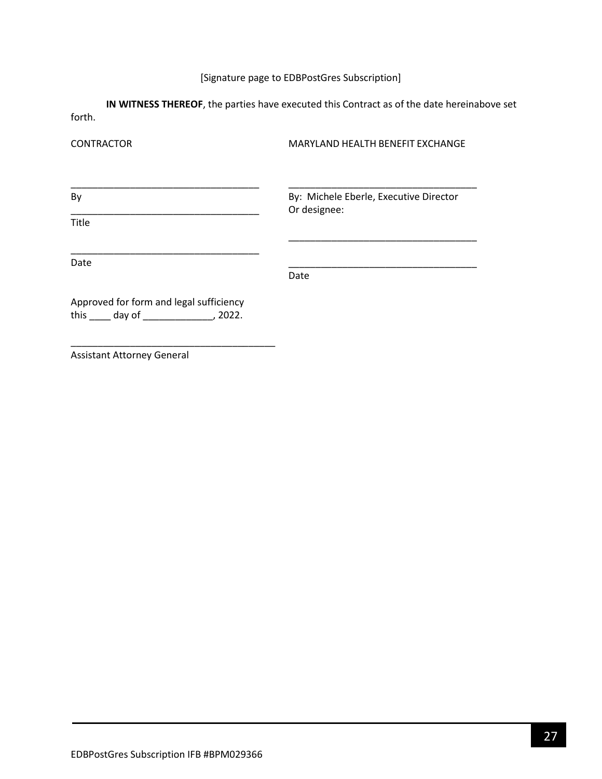# [Signature page to EDBPostGres Subscription]

**IN WITNESS THEREOF**, the parties have executed this Contract as of the date hereinabove set forth.

| <b>CONTRACTOR</b>                                                            | MARYLAND HEALTH BENEFIT EXCHANGE                       |  |  |
|------------------------------------------------------------------------------|--------------------------------------------------------|--|--|
| By                                                                           | By: Michele Eberle, Executive Director<br>Or designee: |  |  |
| Title                                                                        |                                                        |  |  |
| Date                                                                         | Date                                                   |  |  |
| Approved for form and legal sufficiency<br>this $\_\_$ day of $\_\_$ , 2022. |                                                        |  |  |

Assistant Attorney General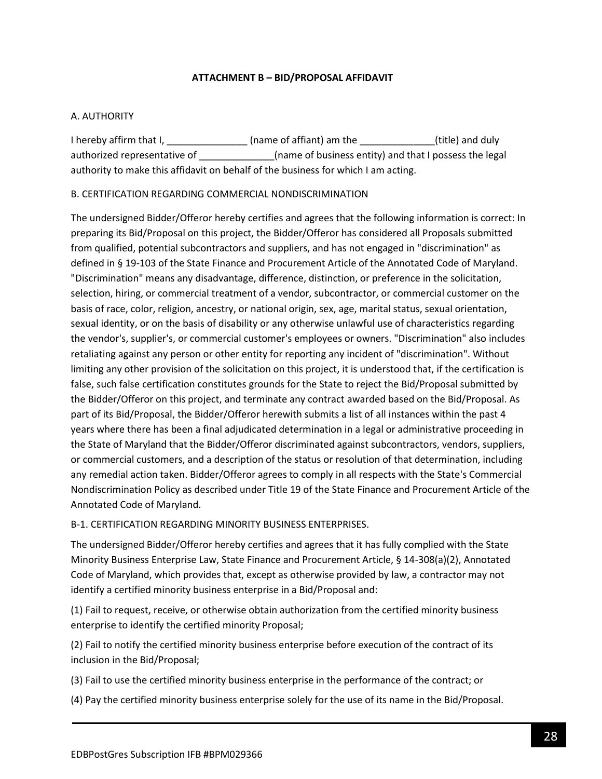### **ATTACHMENT B – BID/PROPOSAL AFFIDAVIT**

### <span id="page-27-0"></span>A. AUTHORITY

I hereby affirm that I, \_\_\_\_\_\_\_\_\_\_\_\_\_\_\_\_\_\_(name of affiant) am the \_\_\_\_\_\_\_\_\_\_\_\_\_\_(title) and duly authorized representative of \_\_\_\_\_\_\_\_\_\_\_\_\_(name of business entity) and that I possess the legal authority to make this affidavit on behalf of the business for which I am acting.

### B. CERTIFICATION REGARDING COMMERCIAL NONDISCRIMINATION

The undersigned Bidder/Offeror hereby certifies and agrees that the following information is correct: In preparing its Bid/Proposal on this project, the Bidder/Offeror has considered all Proposals submitted from qualified, potential subcontractors and suppliers, and has not engaged in "discrimination" as defined in § 19-103 of the State Finance and Procurement Article of the Annotated Code of Maryland. "Discrimination" means any disadvantage, difference, distinction, or preference in the solicitation, selection, hiring, or commercial treatment of a vendor, subcontractor, or commercial customer on the basis of race, color, religion, ancestry, or national origin, sex, age, marital status, sexual orientation, sexual identity, or on the basis of disability or any otherwise unlawful use of characteristics regarding the vendor's, supplier's, or commercial customer's employees or owners. "Discrimination" also includes retaliating against any person or other entity for reporting any incident of "discrimination". Without limiting any other provision of the solicitation on this project, it is understood that, if the certification is false, such false certification constitutes grounds for the State to reject the Bid/Proposal submitted by the Bidder/Offeror on this project, and terminate any contract awarded based on the Bid/Proposal. As part of its Bid/Proposal, the Bidder/Offeror herewith submits a list of all instances within the past 4 years where there has been a final adjudicated determination in a legal or administrative proceeding in the State of Maryland that the Bidder/Offeror discriminated against subcontractors, vendors, suppliers, or commercial customers, and a description of the status or resolution of that determination, including any remedial action taken. Bidder/Offeror agrees to comply in all respects with the State's Commercial Nondiscrimination Policy as described under Title 19 of the State Finance and Procurement Article of the Annotated Code of Maryland.

### B-1. CERTIFICATION REGARDING MINORITY BUSINESS ENTERPRISES.

The undersigned Bidder/Offeror hereby certifies and agrees that it has fully complied with the State Minority Business Enterprise Law, State Finance and Procurement Article, § 14-308(a)(2), Annotated Code of Maryland, which provides that, except as otherwise provided by law, a contractor may not identify a certified minority business enterprise in a Bid/Proposal and:

(1) Fail to request, receive, or otherwise obtain authorization from the certified minority business enterprise to identify the certified minority Proposal;

(2) Fail to notify the certified minority business enterprise before execution of the contract of its inclusion in the Bid/Proposal;

(3) Fail to use the certified minority business enterprise in the performance of the contract; or

(4) Pay the certified minority business enterprise solely for the use of its name in the Bid/Proposal.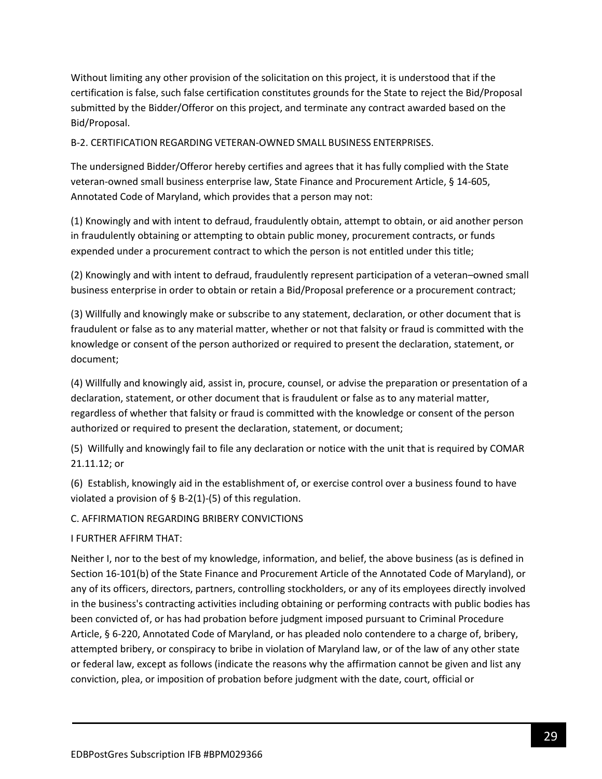Without limiting any other provision of the solicitation on this project, it is understood that if the certification is false, such false certification constitutes grounds for the State to reject the Bid/Proposal submitted by the Bidder/Offeror on this project, and terminate any contract awarded based on the Bid/Proposal.

B-2. CERTIFICATION REGARDING VETERAN-OWNED SMALL BUSINESS ENTERPRISES.

The undersigned Bidder/Offeror hereby certifies and agrees that it has fully complied with the State veteran-owned small business enterprise law, State Finance and Procurement Article, § 14-605, Annotated Code of Maryland, which provides that a person may not:

(1) Knowingly and with intent to defraud, fraudulently obtain, attempt to obtain, or aid another person in fraudulently obtaining or attempting to obtain public money, procurement contracts, or funds expended under a procurement contract to which the person is not entitled under this title;

(2) Knowingly and with intent to defraud, fraudulently represent participation of a veteran–owned small business enterprise in order to obtain or retain a Bid/Proposal preference or a procurement contract;

(3) Willfully and knowingly make or subscribe to any statement, declaration, or other document that is fraudulent or false as to any material matter, whether or not that falsity or fraud is committed with the knowledge or consent of the person authorized or required to present the declaration, statement, or document;

(4) Willfully and knowingly aid, assist in, procure, counsel, or advise the preparation or presentation of a declaration, statement, or other document that is fraudulent or false as to any material matter, regardless of whether that falsity or fraud is committed with the knowledge or consent of the person authorized or required to present the declaration, statement, or document;

(5) Willfully and knowingly fail to file any declaration or notice with the unit that is required by COMAR 21.11.12; or

(6) Establish, knowingly aid in the establishment of, or exercise control over a business found to have violated a provision of  $\S$  B-2(1)-(5) of this regulation.

C. AFFIRMATION REGARDING BRIBERY CONVICTIONS

I FURTHER AFFIRM THAT:

Neither I, nor to the best of my knowledge, information, and belief, the above business (as is defined in Section 16-101(b) of the State Finance and Procurement Article of the Annotated Code of Maryland), or any of its officers, directors, partners, controlling stockholders, or any of its employees directly involved in the business's contracting activities including obtaining or performing contracts with public bodies has been convicted of, or has had probation before judgment imposed pursuant to Criminal Procedure Article, § 6-220, Annotated Code of Maryland, or has pleaded nolo contendere to a charge of, bribery, attempted bribery, or conspiracy to bribe in violation of Maryland law, or of the law of any other state or federal law, except as follows (indicate the reasons why the affirmation cannot be given and list any conviction, plea, or imposition of probation before judgment with the date, court, official or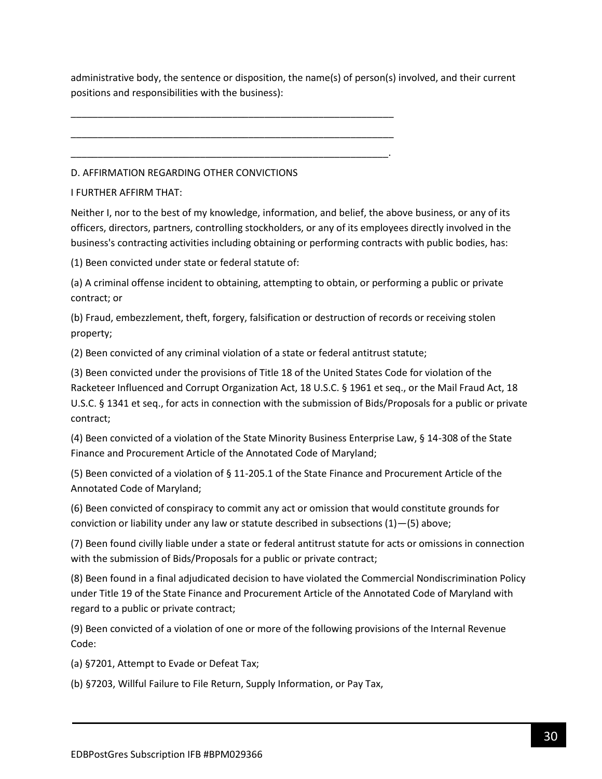administrative body, the sentence or disposition, the name(s) of person(s) involved, and their current positions and responsibilities with the business):

D. AFFIRMATION REGARDING OTHER CONVICTIONS

\_\_\_\_\_\_\_\_\_\_\_\_\_\_\_\_\_\_\_\_\_\_\_\_\_\_\_\_\_\_\_\_\_\_\_\_\_\_\_\_\_\_\_\_\_\_\_\_\_\_\_\_\_\_\_\_\_\_\_\_

\_\_\_\_\_\_\_\_\_\_\_\_\_\_\_\_\_\_\_\_\_\_\_\_\_\_\_\_\_\_\_\_\_\_\_\_\_\_\_\_\_\_\_\_\_\_\_\_\_\_\_\_\_\_\_\_\_\_\_\_

\_\_\_\_\_\_\_\_\_\_\_\_\_\_\_\_\_\_\_\_\_\_\_\_\_\_\_\_\_\_\_\_\_\_\_\_\_\_\_\_\_\_\_\_\_\_\_\_\_\_\_\_\_\_\_\_\_\_\_.

I FURTHER AFFIRM THAT:

Neither I, nor to the best of my knowledge, information, and belief, the above business, or any of its officers, directors, partners, controlling stockholders, or any of its employees directly involved in the business's contracting activities including obtaining or performing contracts with public bodies, has:

(1) Been convicted under state or federal statute of:

(a) A criminal offense incident to obtaining, attempting to obtain, or performing a public or private contract; or

(b) Fraud, embezzlement, theft, forgery, falsification or destruction of records or receiving stolen property;

(2) Been convicted of any criminal violation of a state or federal antitrust statute;

(3) Been convicted under the provisions of Title 18 of the United States Code for violation of the Racketeer Influenced and Corrupt Organization Act, 18 U.S.C. § 1961 et seq., or the Mail Fraud Act, 18 U.S.C. § 1341 et seq., for acts in connection with the submission of Bids/Proposals for a public or private contract;

(4) Been convicted of a violation of the State Minority Business Enterprise Law, § 14-308 of the State Finance and Procurement Article of the Annotated Code of Maryland;

(5) Been convicted of a violation of § 11-205.1 of the State Finance and Procurement Article of the Annotated Code of Maryland;

(6) Been convicted of conspiracy to commit any act or omission that would constitute grounds for conviction or liability under any law or statute described in subsections (1)—(5) above;

(7) Been found civilly liable under a state or federal antitrust statute for acts or omissions in connection with the submission of Bids/Proposals for a public or private contract;

(8) Been found in a final adjudicated decision to have violated the Commercial Nondiscrimination Policy under Title 19 of the State Finance and Procurement Article of the Annotated Code of Maryland with regard to a public or private contract;

(9) Been convicted of a violation of one or more of the following provisions of the Internal Revenue Code:

(a) §7201, Attempt to Evade or Defeat Tax;

(b) §7203, Willful Failure to File Return, Supply Information, or Pay Tax,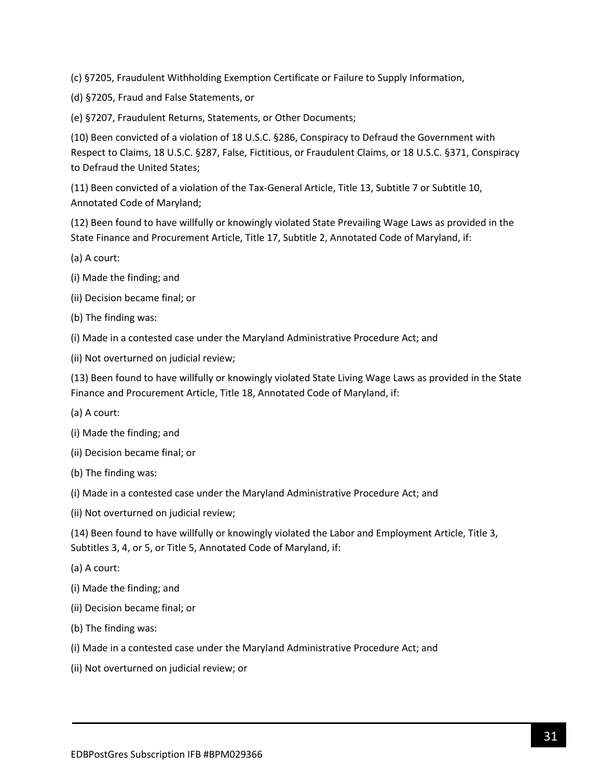(c) §7205, Fraudulent Withholding Exemption Certificate or Failure to Supply Information,

(d) §7205, Fraud and False Statements, or

(e) §7207, Fraudulent Returns, Statements, or Other Documents;

(10) Been convicted of a violation of 18 U.S.C. §286, Conspiracy to Defraud the Government with Respect to Claims, 18 U.S.C. §287, False, Fictitious, or Fraudulent Claims, or 18 U.S.C. §371, Conspiracy to Defraud the United States;

(11) Been convicted of a violation of the Tax-General Article, Title 13, Subtitle 7 or Subtitle 10, Annotated Code of Maryland;

(12) Been found to have willfully or knowingly violated State Prevailing Wage Laws as provided in the State Finance and Procurement Article, Title 17, Subtitle 2, Annotated Code of Maryland, if:

(a) A court:

- (i) Made the finding; and
- (ii) Decision became final; or
- (b) The finding was:
- (i) Made in a contested case under the Maryland Administrative Procedure Act; and
- (ii) Not overturned on judicial review;

(13) Been found to have willfully or knowingly violated State Living Wage Laws as provided in the State Finance and Procurement Article, Title 18, Annotated Code of Maryland, if:

- (a) A court:
- (i) Made the finding; and
- (ii) Decision became final; or
- (b) The finding was:
- (i) Made in a contested case under the Maryland Administrative Procedure Act; and
- (ii) Not overturned on judicial review;

(14) Been found to have willfully or knowingly violated the Labor and Employment Article, Title 3, Subtitles 3, 4, or 5, or Title 5, Annotated Code of Maryland, if:

- (a) A court:
- (i) Made the finding; and
- (ii) Decision became final; or
- (b) The finding was:
- (i) Made in a contested case under the Maryland Administrative Procedure Act; and
- (ii) Not overturned on judicial review; or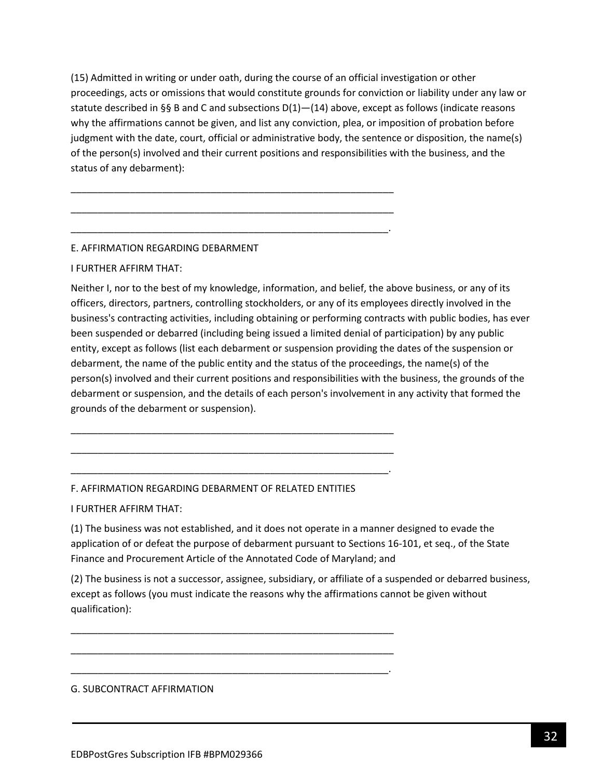(15) Admitted in writing or under oath, during the course of an official investigation or other proceedings, acts or omissions that would constitute grounds for conviction or liability under any law or statute described in §§ B and C and subsections  $D(1)$ — $(14)$  above, except as follows (indicate reasons why the affirmations cannot be given, and list any conviction, plea, or imposition of probation before judgment with the date, court, official or administrative body, the sentence or disposition, the name(s) of the person(s) involved and their current positions and responsibilities with the business, and the status of any debarment):

\_\_\_\_\_\_\_\_\_\_\_\_\_\_\_\_\_\_\_\_\_\_\_\_\_\_\_\_\_\_\_\_\_\_\_\_\_\_\_\_\_\_\_\_\_\_\_\_\_\_\_\_\_\_\_\_\_\_\_\_

\_\_\_\_\_\_\_\_\_\_\_\_\_\_\_\_\_\_\_\_\_\_\_\_\_\_\_\_\_\_\_\_\_\_\_\_\_\_\_\_\_\_\_\_\_\_\_\_\_\_\_\_\_\_\_\_\_\_\_\_

\_\_\_\_\_\_\_\_\_\_\_\_\_\_\_\_\_\_\_\_\_\_\_\_\_\_\_\_\_\_\_\_\_\_\_\_\_\_\_\_\_\_\_\_\_\_\_\_\_\_\_\_\_\_\_\_\_\_\_.

### E. AFFIRMATION REGARDING DEBARMENT

#### I FURTHER AFFIRM THAT:

Neither I, nor to the best of my knowledge, information, and belief, the above business, or any of its officers, directors, partners, controlling stockholders, or any of its employees directly involved in the business's contracting activities, including obtaining or performing contracts with public bodies, has ever been suspended or debarred (including being issued a limited denial of participation) by any public entity, except as follows (list each debarment or suspension providing the dates of the suspension or debarment, the name of the public entity and the status of the proceedings, the name(s) of the person(s) involved and their current positions and responsibilities with the business, the grounds of the debarment or suspension, and the details of each person's involvement in any activity that formed the grounds of the debarment or suspension).

### F. AFFIRMATION REGARDING DEBARMENT OF RELATED ENTITIES

\_\_\_\_\_\_\_\_\_\_\_\_\_\_\_\_\_\_\_\_\_\_\_\_\_\_\_\_\_\_\_\_\_\_\_\_\_\_\_\_\_\_\_\_\_\_\_\_\_\_\_\_\_\_\_\_\_\_\_\_

\_\_\_\_\_\_\_\_\_\_\_\_\_\_\_\_\_\_\_\_\_\_\_\_\_\_\_\_\_\_\_\_\_\_\_\_\_\_\_\_\_\_\_\_\_\_\_\_\_\_\_\_\_\_\_\_\_\_\_\_

\_\_\_\_\_\_\_\_\_\_\_\_\_\_\_\_\_\_\_\_\_\_\_\_\_\_\_\_\_\_\_\_\_\_\_\_\_\_\_\_\_\_\_\_\_\_\_\_\_\_\_\_\_\_\_\_\_\_\_.

\_\_\_\_\_\_\_\_\_\_\_\_\_\_\_\_\_\_\_\_\_\_\_\_\_\_\_\_\_\_\_\_\_\_\_\_\_\_\_\_\_\_\_\_\_\_\_\_\_\_\_\_\_\_\_\_\_\_\_\_

\_\_\_\_\_\_\_\_\_\_\_\_\_\_\_\_\_\_\_\_\_\_\_\_\_\_\_\_\_\_\_\_\_\_\_\_\_\_\_\_\_\_\_\_\_\_\_\_\_\_\_\_\_\_\_\_\_\_\_\_

\_\_\_\_\_\_\_\_\_\_\_\_\_\_\_\_\_\_\_\_\_\_\_\_\_\_\_\_\_\_\_\_\_\_\_\_\_\_\_\_\_\_\_\_\_\_\_\_\_\_\_\_\_\_\_\_\_\_\_.

I FURTHER AFFIRM THAT:

(1) The business was not established, and it does not operate in a manner designed to evade the application of or defeat the purpose of debarment pursuant to Sections 16-101, et seq., of the State Finance and Procurement Article of the Annotated Code of Maryland; and

(2) The business is not a successor, assignee, subsidiary, or affiliate of a suspended or debarred business, except as follows (you must indicate the reasons why the affirmations cannot be given without qualification):

#### G. SUBCONTRACT AFFIRMATION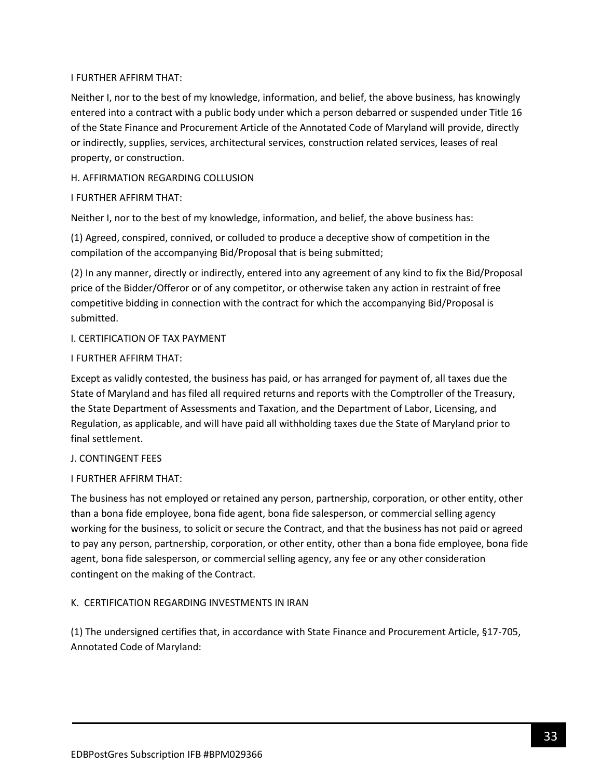### I FURTHER AFFIRM THAT:

Neither I, nor to the best of my knowledge, information, and belief, the above business, has knowingly entered into a contract with a public body under which a person debarred or suspended under Title 16 of the State Finance and Procurement Article of the Annotated Code of Maryland will provide, directly or indirectly, supplies, services, architectural services, construction related services, leases of real property, or construction.

### H. AFFIRMATION REGARDING COLLUSION

### I FURTHER AFFIRM THAT:

Neither I, nor to the best of my knowledge, information, and belief, the above business has:

(1) Agreed, conspired, connived, or colluded to produce a deceptive show of competition in the compilation of the accompanying Bid/Proposal that is being submitted;

(2) In any manner, directly or indirectly, entered into any agreement of any kind to fix the Bid/Proposal price of the Bidder/Offeror or of any competitor, or otherwise taken any action in restraint of free competitive bidding in connection with the contract for which the accompanying Bid/Proposal is submitted.

### I. CERTIFICATION OF TAX PAYMENT

### I FURTHER AFFIRM THAT:

Except as validly contested, the business has paid, or has arranged for payment of, all taxes due the State of Maryland and has filed all required returns and reports with the Comptroller of the Treasury, the State Department of Assessments and Taxation, and the Department of Labor, Licensing, and Regulation, as applicable, and will have paid all withholding taxes due the State of Maryland prior to final settlement.

### J. CONTINGENT FEES

## I FURTHER AFFIRM THAT:

The business has not employed or retained any person, partnership, corporation, or other entity, other than a bona fide employee, bona fide agent, bona fide salesperson, or commercial selling agency working for the business, to solicit or secure the Contract, and that the business has not paid or agreed to pay any person, partnership, corporation, or other entity, other than a bona fide employee, bona fide agent, bona fide salesperson, or commercial selling agency, any fee or any other consideration contingent on the making of the Contract.

## K. CERTIFICATION REGARDING INVESTMENTS IN IRAN

(1) The undersigned certifies that, in accordance with State Finance and Procurement Article, §17-705, Annotated Code of Maryland: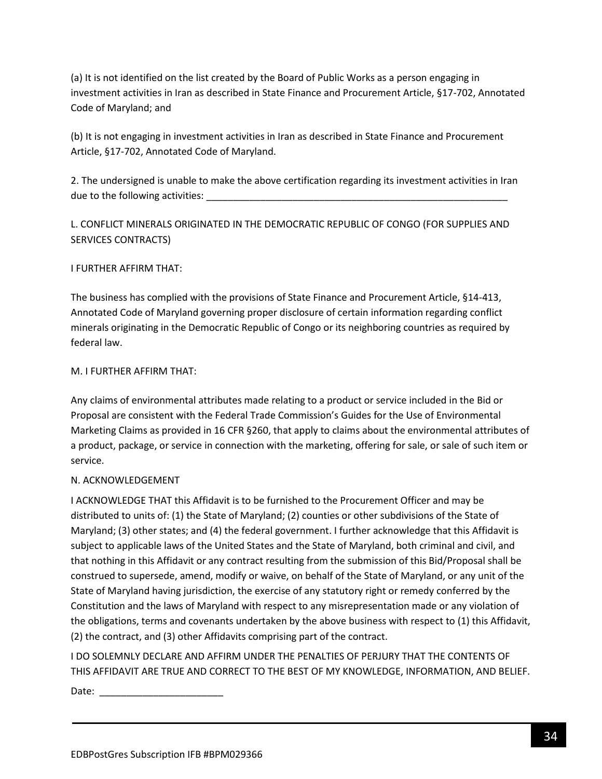(a) It is not identified on the list created by the Board of Public Works as a person engaging in investment activities in Iran as described in State Finance and Procurement Article, §17-702, Annotated Code of Maryland; and

(b) It is not engaging in investment activities in Iran as described in State Finance and Procurement Article, §17-702, Annotated Code of Maryland.

2. The undersigned is unable to make the above certification regarding its investment activities in Iran due to the following activities:

L. CONFLICT MINERALS ORIGINATED IN THE DEMOCRATIC REPUBLIC OF CONGO (FOR SUPPLIES AND SERVICES CONTRACTS)

## I FURTHER AFFIRM THAT:

The business has complied with the provisions of State Finance and Procurement Article, §14-413, Annotated Code of Maryland governing proper disclosure of certain information regarding conflict minerals originating in the Democratic Republic of Congo or its neighboring countries as required by federal law.

### M. I FURTHER AFFIRM THAT:

Any claims of environmental attributes made relating to a product or service included in the Bid or Proposal are consistent with the Federal Trade Commission's Guides for the Use of Environmental Marketing Claims as provided in 16 CFR §260, that apply to claims about the environmental attributes of a product, package, or service in connection with the marketing, offering for sale, or sale of such item or service.

## N. ACKNOWLEDGEMENT

I ACKNOWLEDGE THAT this Affidavit is to be furnished to the Procurement Officer and may be distributed to units of: (1) the State of Maryland; (2) counties or other subdivisions of the State of Maryland; (3) other states; and (4) the federal government. I further acknowledge that this Affidavit is subject to applicable laws of the United States and the State of Maryland, both criminal and civil, and that nothing in this Affidavit or any contract resulting from the submission of this Bid/Proposal shall be construed to supersede, amend, modify or waive, on behalf of the State of Maryland, or any unit of the State of Maryland having jurisdiction, the exercise of any statutory right or remedy conferred by the Constitution and the laws of Maryland with respect to any misrepresentation made or any violation of the obligations, terms and covenants undertaken by the above business with respect to (1) this Affidavit, (2) the contract, and (3) other Affidavits comprising part of the contract.

I DO SOLEMNLY DECLARE AND AFFIRM UNDER THE PENALTIES OF PERJURY THAT THE CONTENTS OF THIS AFFIDAVIT ARE TRUE AND CORRECT TO THE BEST OF MY KNOWLEDGE, INFORMATION, AND BELIEF.

Date:  $\_\_$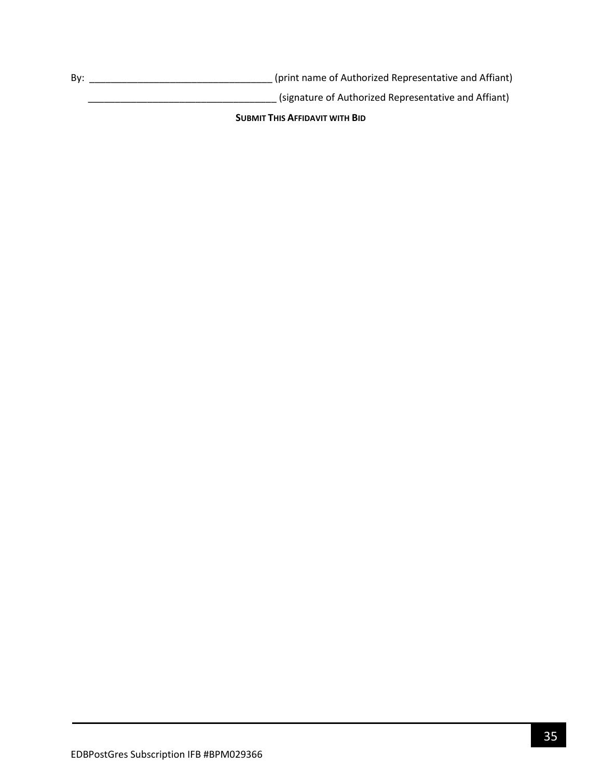By: \_\_\_\_\_\_\_\_\_\_\_\_\_\_\_\_\_\_\_\_\_\_\_\_\_\_\_\_\_\_\_\_\_\_ (print name of Authorized Representative and Affiant)

\_\_\_\_\_\_\_\_\_\_\_\_\_\_\_\_\_\_\_\_\_\_\_\_\_\_\_\_\_\_\_\_\_\_\_ (signature of Authorized Representative and Affiant)

**SUBMIT THIS AFFIDAVIT WITH BID**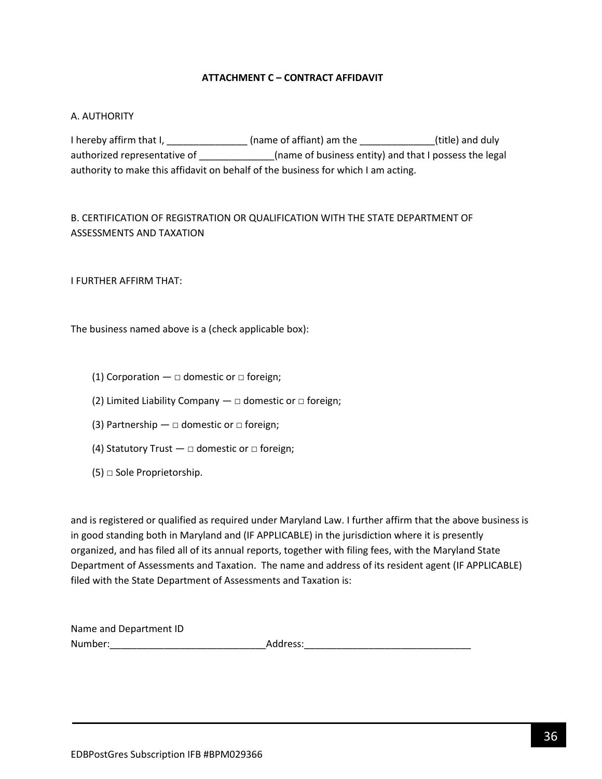### **ATTACHMENT C – CONTRACT AFFIDAVIT**

### <span id="page-35-0"></span>A. AUTHORITY

I hereby affirm that I, \_\_\_\_\_\_\_\_\_\_\_\_\_\_\_\_\_(name of affiant) am the \_\_\_\_\_\_\_\_\_\_\_\_\_\_(title) and duly authorized representative of \_\_\_\_\_\_\_\_\_\_\_\_\_\_\_\_(name of business entity) and that I possess the legal authority to make this affidavit on behalf of the business for which I am acting.

# B. CERTIFICATION OF REGISTRATION OR QUALIFICATION WITH THE STATE DEPARTMENT OF ASSESSMENTS AND TAXATION

I FURTHER AFFIRM THAT:

The business named above is a (check applicable box):

- (1) Corporation  $\Box$  domestic or  $\Box$  foreign;
- (2) Limited Liability Company  $-\Box$  domestic or  $\Box$  foreign;
- (3) Partnership  $\Box$  domestic or  $\Box$  foreign;
- (4) Statutory Trust  $\Box$  domestic or  $\Box$  foreign;
- $(5)$   $\Box$  Sole Proprietorship.

and is registered or qualified as required under Maryland Law. I further affirm that the above business is in good standing both in Maryland and (IF APPLICABLE) in the jurisdiction where it is presently organized, and has filed all of its annual reports, together with filing fees, with the Maryland State Department of Assessments and Taxation. The name and address of its resident agent (IF APPLICABLE) filed with the State Department of Assessments and Taxation is:

| Name and Department ID |          |
|------------------------|----------|
| Number:                | Address: |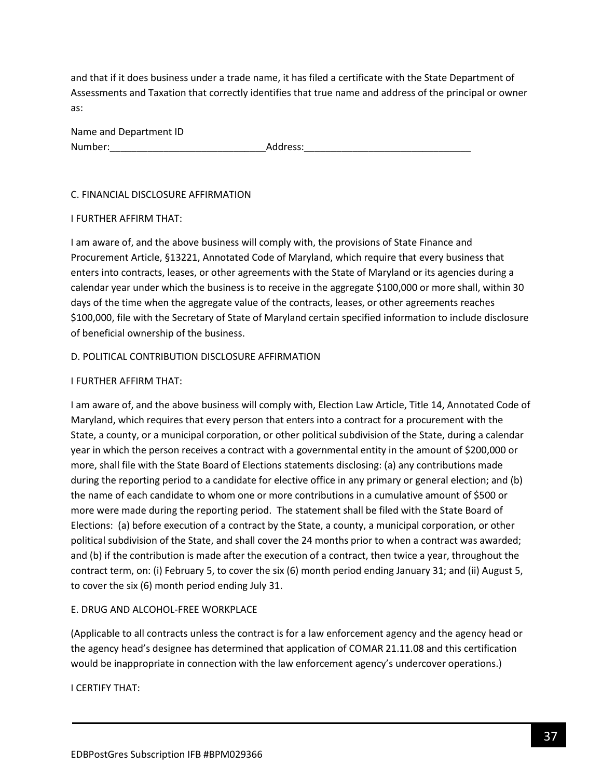and that if it does business under a trade name, it has filed a certificate with the State Department of Assessments and Taxation that correctly identifies that true name and address of the principal or owner as:

| Name and Department ID |          |
|------------------------|----------|
| Number:                | Address: |

### C. FINANCIAL DISCLOSURE AFFIRMATION

### I FURTHER AFFIRM THAT:

I am aware of, and the above business will comply with, the provisions of State Finance and Procurement Article, §13221, Annotated Code of Maryland, which require that every business that enters into contracts, leases, or other agreements with the State of Maryland or its agencies during a calendar year under which the business is to receive in the aggregate \$100,000 or more shall, within 30 days of the time when the aggregate value of the contracts, leases, or other agreements reaches \$100,000, file with the Secretary of State of Maryland certain specified information to include disclosure of beneficial ownership of the business.

### D. POLITICAL CONTRIBUTION DISCLOSURE AFFIRMATION

### I FURTHER AFFIRM THAT:

I am aware of, and the above business will comply with, Election Law Article, Title 14, Annotated Code of Maryland, which requires that every person that enters into a contract for a procurement with the State, a county, or a municipal corporation, or other political subdivision of the State, during a calendar year in which the person receives a contract with a governmental entity in the amount of \$200,000 or more, shall file with the State Board of Elections statements disclosing: (a) any contributions made during the reporting period to a candidate for elective office in any primary or general election; and (b) the name of each candidate to whom one or more contributions in a cumulative amount of \$500 or more were made during the reporting period. The statement shall be filed with the State Board of Elections: (a) before execution of a contract by the State, a county, a municipal corporation, or other political subdivision of the State, and shall cover the 24 months prior to when a contract was awarded; and (b) if the contribution is made after the execution of a contract, then twice a year, throughout the contract term, on: (i) February 5, to cover the six (6) month period ending January 31; and (ii) August 5, to cover the six (6) month period ending July 31.

## E. DRUG AND ALCOHOL-FREE WORKPLACE

(Applicable to all contracts unless the contract is for a law enforcement agency and the agency head or the agency head's designee has determined that application of COMAR 21.11.08 and this certification would be inappropriate in connection with the law enforcement agency's undercover operations.)

I CERTIFY THAT: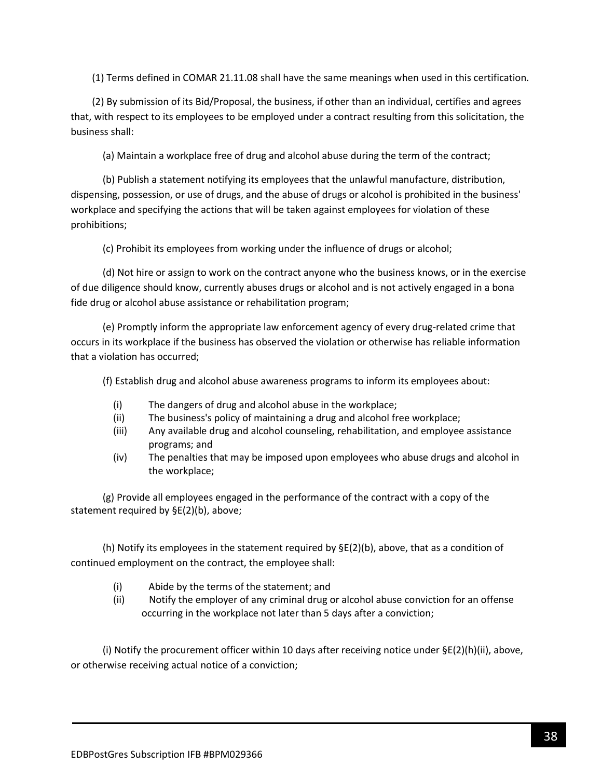(1) Terms defined in COMAR 21.11.08 shall have the same meanings when used in this certification.

(2) By submission of its Bid/Proposal, the business, if other than an individual, certifies and agrees that, with respect to its employees to be employed under a contract resulting from this solicitation, the business shall:

(a) Maintain a workplace free of drug and alcohol abuse during the term of the contract;

(b) Publish a statement notifying its employees that the unlawful manufacture, distribution, dispensing, possession, or use of drugs, and the abuse of drugs or alcohol is prohibited in the business' workplace and specifying the actions that will be taken against employees for violation of these prohibitions;

(c) Prohibit its employees from working under the influence of drugs or alcohol;

(d) Not hire or assign to work on the contract anyone who the business knows, or in the exercise of due diligence should know, currently abuses drugs or alcohol and is not actively engaged in a bona fide drug or alcohol abuse assistance or rehabilitation program;

(e) Promptly inform the appropriate law enforcement agency of every drug-related crime that occurs in its workplace if the business has observed the violation or otherwise has reliable information that a violation has occurred;

(f) Establish drug and alcohol abuse awareness programs to inform its employees about:

- (i) The dangers of drug and alcohol abuse in the workplace;
- (ii) The business's policy of maintaining a drug and alcohol free workplace;
- (iii) Any available drug and alcohol counseling, rehabilitation, and employee assistance programs; and
- (iv) The penalties that may be imposed upon employees who abuse drugs and alcohol in the workplace;

(g) Provide all employees engaged in the performance of the contract with a copy of the statement required by §E(2)(b), above;

(h) Notify its employees in the statement required by  $\Sigma(2)$ (b), above, that as a condition of continued employment on the contract, the employee shall:

- (i) Abide by the terms of the statement; and
- (ii) Notify the employer of any criminal drug or alcohol abuse conviction for an offense occurring in the workplace not later than 5 days after a conviction;

(i) Notify the procurement officer within 10 days after receiving notice under  $\Sigma(2)(h)(ii)$ , above, or otherwise receiving actual notice of a conviction;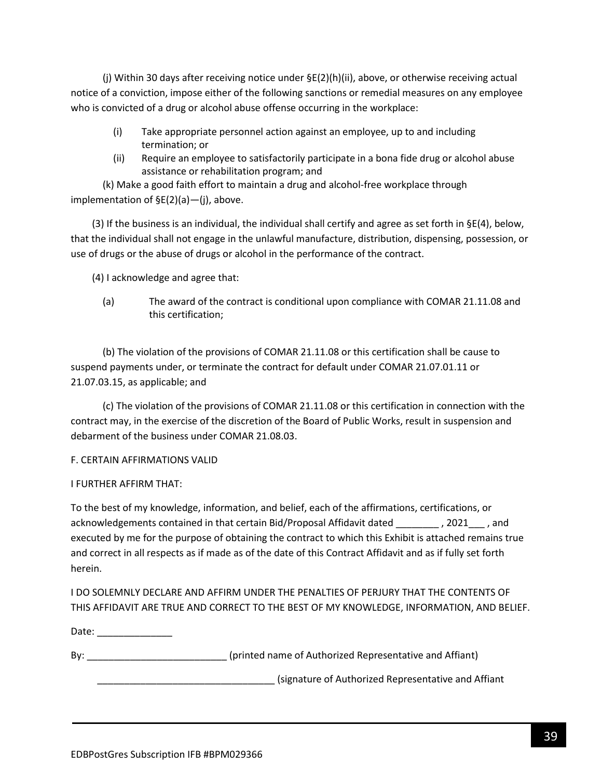(j) Within 30 days after receiving notice under §E(2)(h)(ii), above, or otherwise receiving actual notice of a conviction, impose either of the following sanctions or remedial measures on any employee who is convicted of a drug or alcohol abuse offense occurring in the workplace:

- (i) Take appropriate personnel action against an employee, up to and including termination; or
- (ii) Require an employee to satisfactorily participate in a bona fide drug or alcohol abuse assistance or rehabilitation program; and

(k) Make a good faith effort to maintain a drug and alcohol-free workplace through implementation of §E(2)(a)—(j), above.

(3) If the business is an individual, the individual shall certify and agree as set forth in  $\S E(4)$ , below, that the individual shall not engage in the unlawful manufacture, distribution, dispensing, possession, or use of drugs or the abuse of drugs or alcohol in the performance of the contract.

(4) I acknowledge and agree that:

(a) The award of the contract is conditional upon compliance with COMAR 21.11.08 and this certification;

(b) The violation of the provisions of COMAR 21.11.08 or this certification shall be cause to suspend payments under, or terminate the contract for default under COMAR 21.07.01.11 or 21.07.03.15, as applicable; and

(c) The violation of the provisions of COMAR 21.11.08 or this certification in connection with the contract may, in the exercise of the discretion of the Board of Public Works, result in suspension and debarment of the business under COMAR 21.08.03.

## F. CERTAIN AFFIRMATIONS VALID

## I FURTHER AFFIRM THAT:

To the best of my knowledge, information, and belief, each of the affirmations, certifications, or acknowledgements contained in that certain Bid/Proposal Affidavit dated \_\_\_\_\_\_\_\_ , 2021\_\_\_ , and executed by me for the purpose of obtaining the contract to which this Exhibit is attached remains true and correct in all respects as if made as of the date of this Contract Affidavit and as if fully set forth herein.

I DO SOLEMNLY DECLARE AND AFFIRM UNDER THE PENALTIES OF PERJURY THAT THE CONTENTS OF THIS AFFIDAVIT ARE TRUE AND CORRECT TO THE BEST OF MY KNOWLEDGE, INFORMATION, AND BELIEF.

Date: \_\_\_\_\_\_\_\_\_\_\_\_\_\_\_

By: example and the state of authorized Representative and Affiant)

\_\_\_\_\_\_\_\_\_\_\_\_\_\_\_\_\_\_\_\_\_\_\_\_\_\_\_\_\_\_\_\_\_ (signature of Authorized Representative and Affiant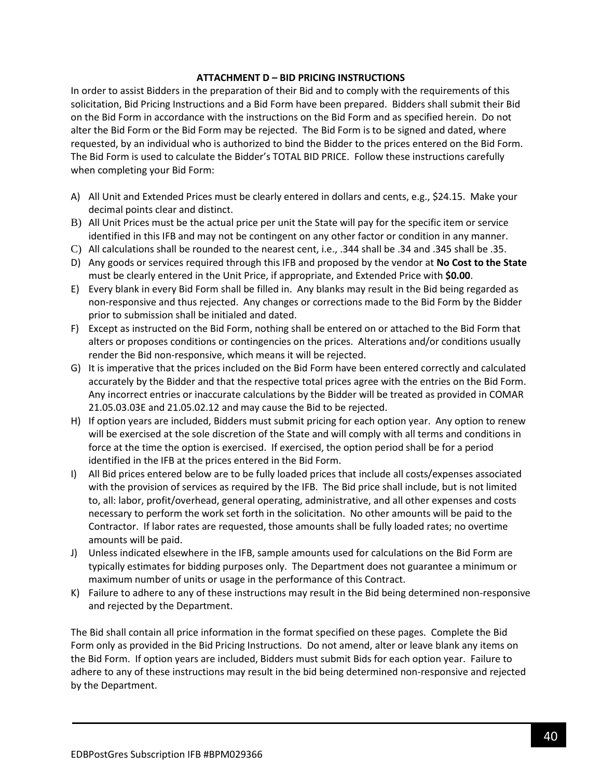### **ATTACHMENT D – BID PRICING INSTRUCTIONS**

In order to assist Bidders in the preparation of their Bid and to comply with the requirements of this solicitation, Bid Pricing Instructions and a Bid Form have been prepared. Bidders shall submit their Bid on the Bid Form in accordance with the instructions on the Bid Form and as specified herein. Do not alter the Bid Form or the Bid Form may be rejected. The Bid Form is to be signed and dated, where requested, by an individual who is authorized to bind the Bidder to the prices entered on the Bid Form. The Bid Form is used to calculate the Bidder's TOTAL BID PRICE. Follow these instructions carefully when completing your Bid Form:

- A) All Unit and Extended Prices must be clearly entered in dollars and cents, e.g., \$24.15. Make your decimal points clear and distinct.
- B) All Unit Prices must be the actual price per unit the State will pay for the specific item or service identified in this IFB and may not be contingent on any other factor or condition in any manner.
- C) All calculations shall be rounded to the nearest cent, i.e., .344 shall be .34 and .345 shall be .35.
- D) Any goods or services required through this IFB and proposed by the vendor at **No Cost to the State** must be clearly entered in the Unit Price, if appropriate, and Extended Price with **\$0.00**.
- E) Every blank in every Bid Form shall be filled in. Any blanks may result in the Bid being regarded as non-responsive and thus rejected. Any changes or corrections made to the Bid Form by the Bidder prior to submission shall be initialed and dated.
- F) Except as instructed on the Bid Form, nothing shall be entered on or attached to the Bid Form that alters or proposes conditions or contingencies on the prices. Alterations and/or conditions usually render the Bid non-responsive, which means it will be rejected.
- G) It is imperative that the prices included on the Bid Form have been entered correctly and calculated accurately by the Bidder and that the respective total prices agree with the entries on the Bid Form. Any incorrect entries or inaccurate calculations by the Bidder will be treated as provided in COMAR 21.05.03.03E and 21.05.02.12 and may cause the Bid to be rejected.
- H) If option years are included, Bidders must submit pricing for each option year. Any option to renew will be exercised at the sole discretion of the State and will comply with all terms and conditions in force at the time the option is exercised. If exercised, the option period shall be for a period identified in the IFB at the prices entered in the Bid Form.
- I) All Bid prices entered below are to be fully loaded prices that include all costs/expenses associated with the provision of services as required by the IFB. The Bid price shall include, but is not limited to, all: labor, profit/overhead, general operating, administrative, and all other expenses and costs necessary to perform the work set forth in the solicitation. No other amounts will be paid to the Contractor. If labor rates are requested, those amounts shall be fully loaded rates; no overtime amounts will be paid.
- J) Unless indicated elsewhere in the IFB, sample amounts used for calculations on the Bid Form are typically estimates for bidding purposes only. The Department does not guarantee a minimum or maximum number of units or usage in the performance of this Contract.
- K) Failure to adhere to any of these instructions may result in the Bid being determined non-responsive and rejected by the Department.

The Bid shall contain all price information in the format specified on these pages. Complete the Bid Form only as provided in the Bid Pricing Instructions. Do not amend, alter or leave blank any items on the Bid Form. If option years are included, Bidders must submit Bids for each option year. Failure to adhere to any of these instructions may result in the bid being determined non-responsive and rejected by the Department.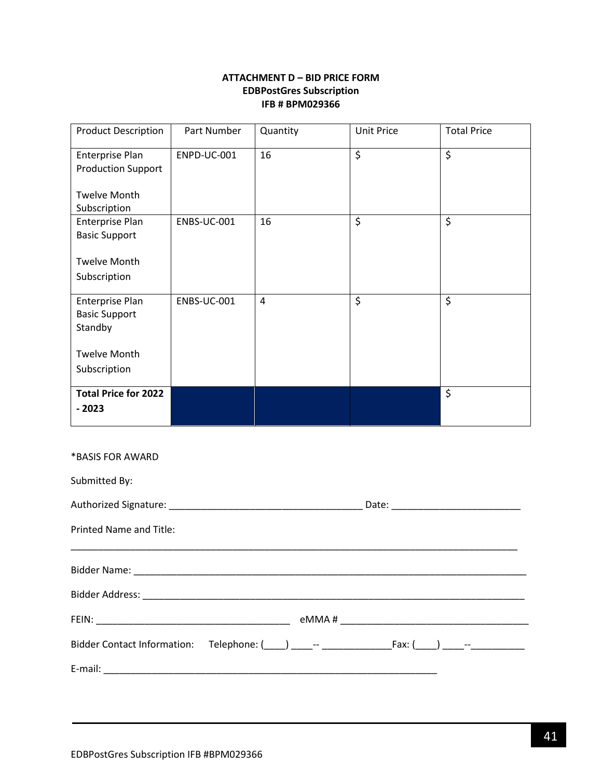### **ATTACHMENT D – BID PRICE FORM EDBPostGres Subscription IFB # BPM029366**

<span id="page-40-0"></span>

| <b>Product Description</b>  | Part Number        | Quantity       | <b>Unit Price</b> | <b>Total Price</b> |
|-----------------------------|--------------------|----------------|-------------------|--------------------|
| <b>Enterprise Plan</b>      | ENPD-UC-001        | 16             | $\zeta$           | \$                 |
| <b>Production Support</b>   |                    |                |                   |                    |
| <b>Twelve Month</b>         |                    |                |                   |                    |
| Subscription                |                    |                |                   |                    |
| <b>Enterprise Plan</b>      | <b>ENBS-UC-001</b> | 16             | \$                | \$                 |
| <b>Basic Support</b>        |                    |                |                   |                    |
| <b>Twelve Month</b>         |                    |                |                   |                    |
| Subscription                |                    |                |                   |                    |
| <b>Enterprise Plan</b>      | <b>ENBS-UC-001</b> | $\overline{4}$ | $\zeta$           | \$                 |
| <b>Basic Support</b>        |                    |                |                   |                    |
| Standby                     |                    |                |                   |                    |
| <b>Twelve Month</b>         |                    |                |                   |                    |
| Subscription                |                    |                |                   |                    |
| <b>Total Price for 2022</b> |                    |                |                   | \$                 |
| $-2023$                     |                    |                |                   |                    |
|                             |                    |                |                   |                    |

| *BASIS FOR AWARD               |  |
|--------------------------------|--|
| Submitted By:                  |  |
|                                |  |
| <b>Printed Name and Title:</b> |  |
|                                |  |
|                                |  |
|                                |  |
|                                |  |
|                                |  |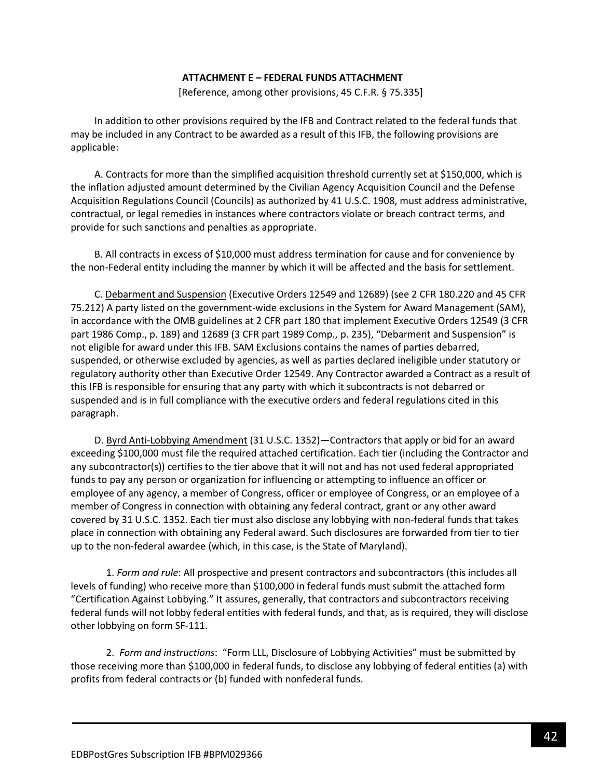#### **ATTACHMENT E – FEDERAL FUNDS ATTACHMENT**

[Reference, among other provisions, 45 C.F.R. § 75.335]

<span id="page-41-0"></span>In addition to other provisions required by the IFB and Contract related to the federal funds that may be included in any Contract to be awarded as a result of this IFB, the following provisions are applicable:

A. Contracts for more than the simplified acquisition threshold currently set at \$150,000, which is the inflation adjusted amount determined by the Civilian Agency Acquisition Council and the Defense Acquisition Regulations Council (Councils) as authorized by 41 U.S.C. 1908, must address administrative, contractual, or legal remedies in instances where contractors violate or breach contract terms, and provide for such sanctions and penalties as appropriate.

B. All contracts in excess of \$10,000 must address termination for cause and for convenience by the non-Federal entity including the manner by which it will be affected and the basis for settlement.

C. Debarment and Suspension (Executive Orders 12549 and 12689) (see 2 CFR 180.220 and 45 CFR 75.212) A party listed on the government-wide exclusions in the System for Award Management (SAM), in accordance with the OMB guidelines at 2 CFR part 180 that implement Executive Orders 12549 (3 CFR part 1986 Comp., p. 189) and 12689 (3 CFR part 1989 Comp., p. 235), "Debarment and Suspension" is not eligible for award under this IFB. SAM Exclusions contains the names of parties debarred, suspended, or otherwise excluded by agencies, as well as parties declared ineligible under statutory or regulatory authority other than Executive Order 12549. Any Contractor awarded a Contract as a result of this IFB is responsible for ensuring that any party with which it subcontracts is not debarred or suspended and is in full compliance with the executive orders and federal regulations cited in this paragraph.

D. Byrd Anti-Lobbying Amendment (31 U.S.C. 1352)—Contractors that apply or bid for an award exceeding \$100,000 must file the required attached certification. Each tier (including the Contractor and any subcontractor(s)) certifies to the tier above that it will not and has not used federal appropriated funds to pay any person or organization for influencing or attempting to influence an officer or employee of any agency, a member of Congress, officer or employee of Congress, or an employee of a member of Congress in connection with obtaining any federal contract, grant or any other award covered by 31 U.S.C. 1352. Each tier must also disclose any lobbying with non-federal funds that takes place in connection with obtaining any Federal award. Such disclosures are forwarded from tier to tier up to the non-federal awardee (which, in this case, is the State of Maryland).

1. *Form and rule*: All prospective and present contractors and subcontractors (this includes all levels of funding) who receive more than \$100,000 in federal funds must submit the attached form "Certification Against Lobbying." It assures, generally, that contractors and subcontractors receiving federal funds will not lobby federal entities with federal funds, and that, as is required, they will disclose other lobbying on form SF-111.

2. *Form and instructions*: "Form LLL, Disclosure of Lobbying Activities" must be submitted by those receiving more than \$100,000 in federal funds, to disclose any lobbying of federal entities (a) with profits from federal contracts or (b) funded with nonfederal funds.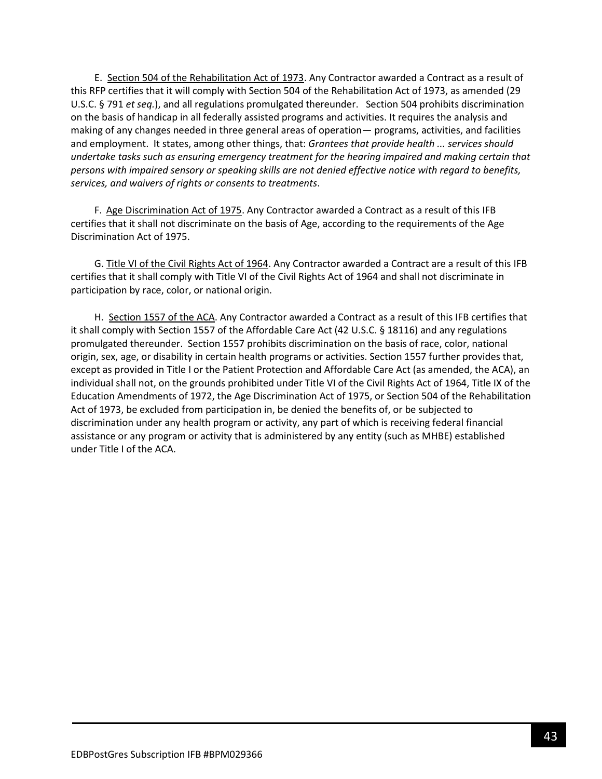E. Section 504 of the Rehabilitation Act of 1973. Any Contractor awarded a Contract as a result of this RFP certifies that it will comply with Section 504 of the Rehabilitation Act of 1973, as amended (29 U.S.C. § 791 *et seq.*), and all regulations promulgated thereunder. Section 504 prohibits discrimination on the basis of handicap in all federally assisted programs and activities. It requires the analysis and making of any changes needed in three general areas of operation— programs, activities, and facilities and employment. It states, among other things, that: *Grantees that provide health ... services should undertake tasks such as ensuring emergency treatment for the hearing impaired and making certain that persons with impaired sensory or speaking skills are not denied effective notice with regard to benefits, services, and waivers of rights or consents to treatments*.

F. Age Discrimination Act of 1975. Any Contractor awarded a Contract as a result of this IFB certifies that it shall not discriminate on the basis of Age, according to the requirements of the Age Discrimination Act of 1975.

G. Title VI of the Civil Rights Act of 1964. Any Contractor awarded a Contract are a result of this IFB certifies that it shall comply with Title VI of the Civil Rights Act of 1964 and shall not discriminate in participation by race, color, or national origin.

H. Section 1557 of the ACA. Any Contractor awarded a Contract as a result of this IFB certifies that it shall comply with Section 1557 of the Affordable Care Act (42 U.S.C. § 18116) and any regulations promulgated thereunder. Section 1557 prohibits discrimination on the basis of race, color, national origin, sex, age, or disability in certain health programs or activities. Section 1557 further provides that, except as provided in Title I or the Patient Protection and Affordable Care Act (as amended, the ACA), an individual shall not, on the grounds prohibited under Title VI of the Civil Rights Act of 1964, Title IX of the Education Amendments of 1972, the Age Discrimination Act of 1975, or Section 504 of the Rehabilitation Act of 1973, be excluded from participation in, be denied the benefits of, or be subjected to discrimination under any health program or activity, any part of which is receiving federal financial assistance or any program or activity that is administered by any entity (such as MHBE) established under Title I of the ACA.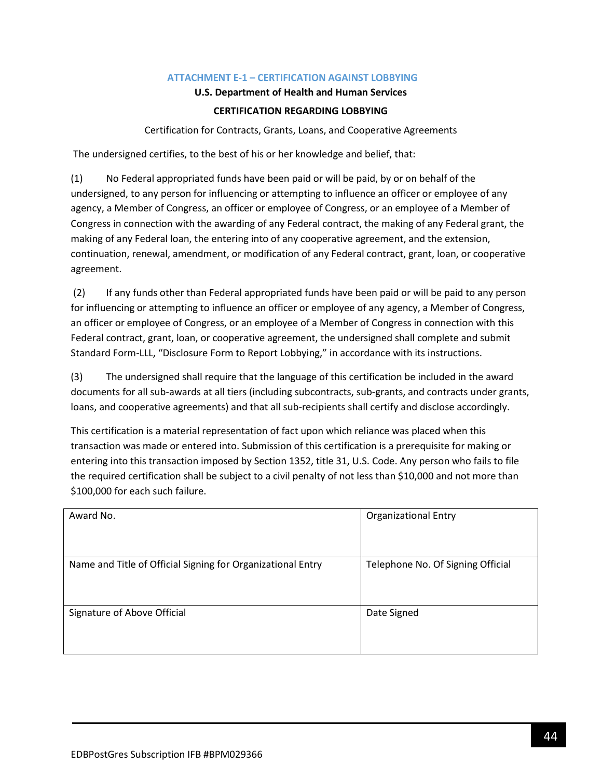### **ATTACHMENT E-1 – CERTIFICATION AGAINST LOBBYING**

### **U.S. Department of Health and Human Services**

### **CERTIFICATION REGARDING LOBBYING**

Certification for Contracts, Grants, Loans, and Cooperative Agreements

<span id="page-43-0"></span>The undersigned certifies, to the best of his or her knowledge and belief, that:

(1) No Federal appropriated funds have been paid or will be paid, by or on behalf of the undersigned, to any person for influencing or attempting to influence an officer or employee of any agency, a Member of Congress, an officer or employee of Congress, or an employee of a Member of Congress in connection with the awarding of any Federal contract, the making of any Federal grant, the making of any Federal loan, the entering into of any cooperative agreement, and the extension, continuation, renewal, amendment, or modification of any Federal contract, grant, loan, or cooperative agreement.

(2) If any funds other than Federal appropriated funds have been paid or will be paid to any person for influencing or attempting to influence an officer or employee of any agency, a Member of Congress, an officer or employee of Congress, or an employee of a Member of Congress in connection with this Federal contract, grant, loan, or cooperative agreement, the undersigned shall complete and submit Standard Form-LLL, "Disclosure Form to Report Lobbying," in accordance with its instructions.

(3) The undersigned shall require that the language of this certification be included in the award documents for all sub-awards at all tiers (including subcontracts, sub-grants, and contracts under grants, loans, and cooperative agreements) and that all sub-recipients shall certify and disclose accordingly.

This certification is a material representation of fact upon which reliance was placed when this transaction was made or entered into. Submission of this certification is a prerequisite for making or entering into this transaction imposed by Section 1352, title 31, U.S. Code. Any person who fails to file the required certification shall be subject to a civil penalty of not less than \$10,000 and not more than \$100,000 for each such failure.

| Award No.                                                   | <b>Organizational Entry</b>       |
|-------------------------------------------------------------|-----------------------------------|
| Name and Title of Official Signing for Organizational Entry | Telephone No. Of Signing Official |
| Signature of Above Official                                 | Date Signed                       |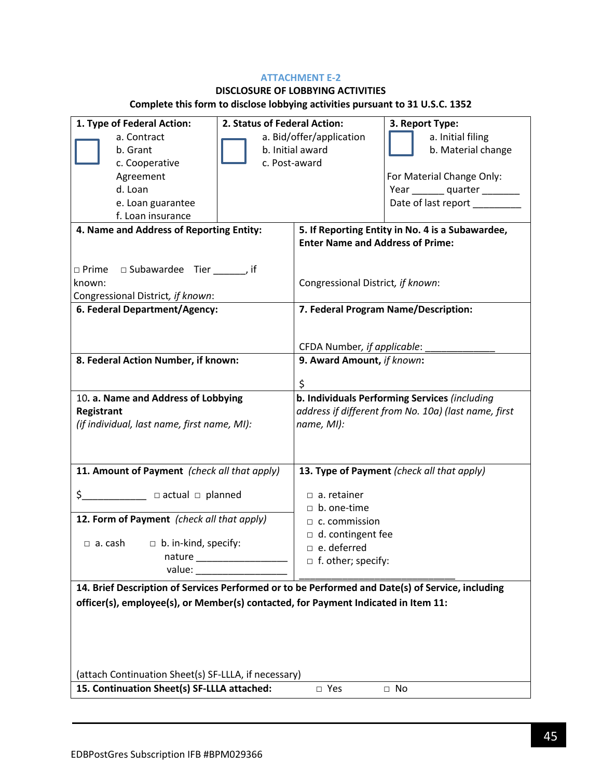### **ATTACHMENT E-2**

# **DISCLOSURE OF LOBBYING ACTIVITIES**

# **Complete this form to disclose lobbying activities pursuant to 31 U.S.C. 1352**

| 1. Type of Federal Action:                                                                                                                                                                                                                                                                                          | 2. Status of Federal Action:        |                                                      | 3. Report Type:                            |
|---------------------------------------------------------------------------------------------------------------------------------------------------------------------------------------------------------------------------------------------------------------------------------------------------------------------|-------------------------------------|------------------------------------------------------|--------------------------------------------|
| a. Contract                                                                                                                                                                                                                                                                                                         | a. Bid/offer/application            |                                                      | a. Initial filing                          |
| b. Grant                                                                                                                                                                                                                                                                                                            | b. Initial award                    |                                                      | b. Material change                         |
| c. Cooperative                                                                                                                                                                                                                                                                                                      | c. Post-award                       |                                                      |                                            |
| Agreement                                                                                                                                                                                                                                                                                                           |                                     |                                                      | For Material Change Only:                  |
| d. Loan                                                                                                                                                                                                                                                                                                             |                                     |                                                      | Year ________ quarter ________             |
| e. Loan guarantee                                                                                                                                                                                                                                                                                                   |                                     |                                                      | Date of last report ________               |
| f. Loan insurance                                                                                                                                                                                                                                                                                                   |                                     |                                                      |                                            |
| 4. Name and Address of Reporting Entity:                                                                                                                                                                                                                                                                            |                                     | 5. If Reporting Entity in No. 4 is a Subawardee,     |                                            |
|                                                                                                                                                                                                                                                                                                                     |                                     | <b>Enter Name and Address of Prime:</b>              |                                            |
|                                                                                                                                                                                                                                                                                                                     |                                     |                                                      |                                            |
| □ Subawardee Tier ______, if<br>$\Box$ Prime                                                                                                                                                                                                                                                                        |                                     |                                                      |                                            |
| known:                                                                                                                                                                                                                                                                                                              |                                     | Congressional District, if known:                    |                                            |
| Congressional District, if known:                                                                                                                                                                                                                                                                                   |                                     |                                                      |                                            |
| 6. Federal Department/Agency:                                                                                                                                                                                                                                                                                       |                                     |                                                      | 7. Federal Program Name/Description:       |
|                                                                                                                                                                                                                                                                                                                     |                                     |                                                      |                                            |
|                                                                                                                                                                                                                                                                                                                     |                                     | CFDA Number, if applicable:                          |                                            |
| 8. Federal Action Number, if known:                                                                                                                                                                                                                                                                                 |                                     | 9. Award Amount, if known:                           |                                            |
|                                                                                                                                                                                                                                                                                                                     |                                     |                                                      |                                            |
|                                                                                                                                                                                                                                                                                                                     |                                     | \$                                                   |                                            |
| 10. a. Name and Address of Lobbying                                                                                                                                                                                                                                                                                 |                                     | b. Individuals Performing Services (including        |                                            |
| Registrant                                                                                                                                                                                                                                                                                                          |                                     | address if different from No. 10a) (last name, first |                                            |
| (if individual, last name, first name, MI):                                                                                                                                                                                                                                                                         |                                     | name, MI):                                           |                                            |
|                                                                                                                                                                                                                                                                                                                     |                                     |                                                      |                                            |
|                                                                                                                                                                                                                                                                                                                     |                                     |                                                      |                                            |
| 11. Amount of Payment (check all that apply)                                                                                                                                                                                                                                                                        |                                     |                                                      | 13. Type of Payment (check all that apply) |
| $\frac{1}{2}$ $\frac{1}{2}$ $\frac{1}{2}$ $\frac{1}{2}$ $\frac{1}{2}$ $\frac{1}{2}$ $\frac{1}{2}$ $\frac{1}{2}$ $\frac{1}{2}$ $\frac{1}{2}$ $\frac{1}{2}$ $\frac{1}{2}$ $\frac{1}{2}$ $\frac{1}{2}$ $\frac{1}{2}$ $\frac{1}{2}$ $\frac{1}{2}$ $\frac{1}{2}$ $\frac{1}{2}$ $\frac{1}{2}$ $\frac{1}{2}$ $\frac{1}{2}$ |                                     | $\Box$ a. retainer                                   |                                            |
|                                                                                                                                                                                                                                                                                                                     |                                     | $\Box$ b. one-time                                   |                                            |
| 12. Form of Payment (check all that apply)                                                                                                                                                                                                                                                                          |                                     | $\Box$ c. commission                                 |                                            |
|                                                                                                                                                                                                                                                                                                                     |                                     | $\Box$ d. contingent fee                             |                                            |
| $\Box$ a. cash<br>$\Box$ b. in-kind, specify:                                                                                                                                                                                                                                                                       |                                     | $\Box$ e. deferred                                   |                                            |
|                                                                                                                                                                                                                                                                                                                     | nature<br>$\Box$ f. other; specify: |                                                      |                                            |
| value:                                                                                                                                                                                                                                                                                                              |                                     |                                                      |                                            |
| 14. Brief Description of Services Performed or to be Performed and Date(s) of Service, including                                                                                                                                                                                                                    |                                     |                                                      |                                            |
| officer(s), employee(s), or Member(s) contacted, for Payment Indicated in Item 11:                                                                                                                                                                                                                                  |                                     |                                                      |                                            |
|                                                                                                                                                                                                                                                                                                                     |                                     |                                                      |                                            |
|                                                                                                                                                                                                                                                                                                                     |                                     |                                                      |                                            |
|                                                                                                                                                                                                                                                                                                                     |                                     |                                                      |                                            |
|                                                                                                                                                                                                                                                                                                                     |                                     |                                                      |                                            |
| (attach Continuation Sheet(s) SF-LLLA, if necessary)                                                                                                                                                                                                                                                                |                                     |                                                      |                                            |
| 15. Continuation Sheet(s) SF-LLLA attached:                                                                                                                                                                                                                                                                         |                                     | □ Yes                                                | $\Box$ No                                  |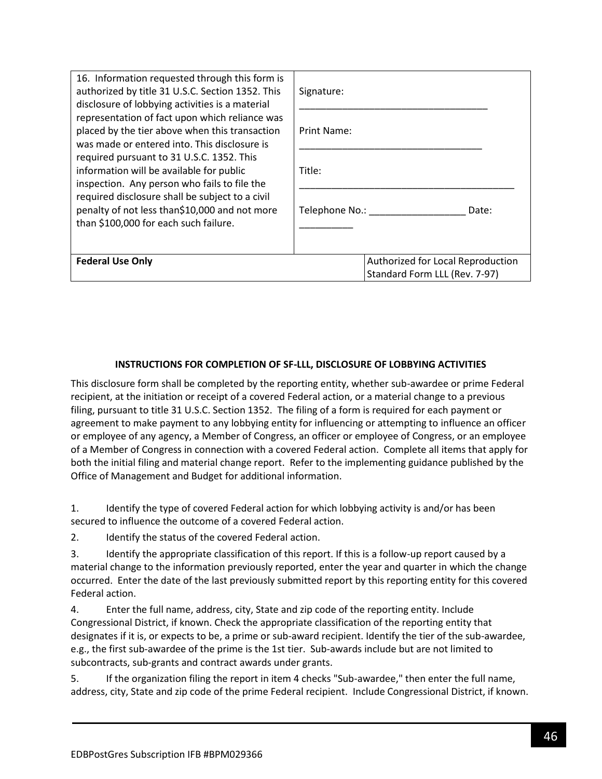| 16. Information requested through this form is<br>authorized by title 31 U.S.C. Section 1352. This<br>disclosure of lobbying activities is a material<br>representation of fact upon which reliance was<br>placed by the tier above when this transaction<br>was made or entered into. This disclosure is<br>required pursuant to 31 U.S.C. 1352. This<br>information will be available for public<br>inspection. Any person who fails to file the<br>required disclosure shall be subject to a civil<br>penalty of not less than\$10,000 and not more<br>than \$100,000 for each such failure. | Signature:                                                         |
|-------------------------------------------------------------------------------------------------------------------------------------------------------------------------------------------------------------------------------------------------------------------------------------------------------------------------------------------------------------------------------------------------------------------------------------------------------------------------------------------------------------------------------------------------------------------------------------------------|--------------------------------------------------------------------|
|                                                                                                                                                                                                                                                                                                                                                                                                                                                                                                                                                                                                 | Print Name:                                                        |
|                                                                                                                                                                                                                                                                                                                                                                                                                                                                                                                                                                                                 | Title:                                                             |
|                                                                                                                                                                                                                                                                                                                                                                                                                                                                                                                                                                                                 | Telephone No.:<br>Date:                                            |
| <b>Federal Use Only</b>                                                                                                                                                                                                                                                                                                                                                                                                                                                                                                                                                                         | Authorized for Local Reproduction<br>Standard Form LLL (Rev. 7-97) |

### **INSTRUCTIONS FOR COMPLETION OF SF-LLL, DISCLOSURE OF LOBBYING ACTIVITIES**

This disclosure form shall be completed by the reporting entity, whether sub-awardee or prime Federal recipient, at the initiation or receipt of a covered Federal action, or a material change to a previous filing, pursuant to title 31 U.S.C. Section 1352. The filing of a form is required for each payment or agreement to make payment to any lobbying entity for influencing or attempting to influence an officer or employee of any agency, a Member of Congress, an officer or employee of Congress, or an employee of a Member of Congress in connection with a covered Federal action. Complete all items that apply for both the initial filing and material change report. Refer to the implementing guidance published by the Office of Management and Budget for additional information.

1. Identify the type of covered Federal action for which lobbying activity is and/or has been secured to influence the outcome of a covered Federal action.

2. Identify the status of the covered Federal action.

3. Identify the appropriate classification of this report. If this is a follow-up report caused by a material change to the information previously reported, enter the year and quarter in which the change occurred. Enter the date of the last previously submitted report by this reporting entity for this covered Federal action.

4. Enter the full name, address, city, State and zip code of the reporting entity. Include Congressional District, if known. Check the appropriate classification of the reporting entity that designates if it is, or expects to be, a prime or sub-award recipient. Identify the tier of the sub-awardee, e.g., the first sub-awardee of the prime is the 1st tier. Sub-awards include but are not limited to subcontracts, sub-grants and contract awards under grants.

5. If the organization filing the report in item 4 checks "Sub-awardee," then enter the full name, address, city, State and zip code of the prime Federal recipient. Include Congressional District, if known.